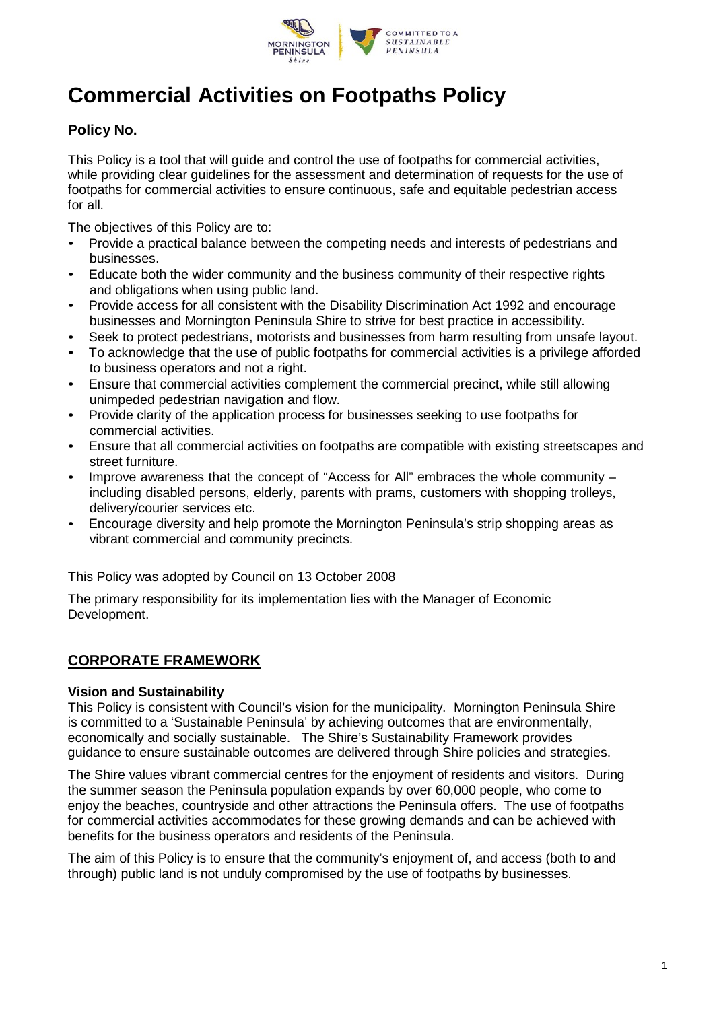

# **Commercial Activities on Footpaths Policy**

## **Policy No.**

This Policy is a tool that will guide and control the use of footpaths for commercial activities, while providing clear guidelines for the assessment and determination of requests for the use of footpaths for commercial activities to ensure continuous, safe and equitable pedestrian access for all.

The objectives of this Policy are to:

- Provide a practical balance between the competing needs and interests of pedestrians and businesses.
- Educate both the wider community and the business community of their respective rights and obligations when using public land.
- Provide access for all consistent with the Disability Discrimination Act 1992 and encourage businesses and Mornington Peninsula Shire to strive for best practice in accessibility.
- Seek to protect pedestrians, motorists and businesses from harm resulting from unsafe layout.
- To acknowledge that the use of public footpaths for commercial activities is a privilege afforded to business operators and not a right.
- Ensure that commercial activities complement the commercial precinct, while still allowing unimpeded pedestrian navigation and flow.
- Provide clarity of the application process for businesses seeking to use footpaths for commercial activities.
- Ensure that all commercial activities on footpaths are compatible with existing streetscapes and street furniture.
- Improve awareness that the concept of "Access for All" embraces the whole community including disabled persons, elderly, parents with prams, customers with shopping trolleys, delivery/courier services etc.
- Encourage diversity and help promote the Mornington Peninsula's strip shopping areas as vibrant commercial and community precincts.

This Policy was adopted by Council on 13 October 2008

The primary responsibility for its implementation lies with the Manager of Economic Development.

## **CORPORATE FRAMEWORK**

#### **Vision and Sustainability**

This Policy is consistent with Council's vision for the municipality. Mornington Peninsula Shire is committed to a 'Sustainable Peninsula' by achieving outcomes that are environmentally, economically and socially sustainable. The Shire's Sustainability Framework provides guidance to ensure sustainable outcomes are delivered through Shire policies and strategies.

The Shire values vibrant commercial centres for the enjoyment of residents and visitors. During the summer season the Peninsula population expands by over 60,000 people, who come to enjoy the beaches, countryside and other attractions the Peninsula offers. The use of footpaths for commercial activities accommodates for these growing demands and can be achieved with benefits for the business operators and residents of the Peninsula.

The aim of this Policy is to ensure that the community's enjoyment of, and access (both to and through) public land is not unduly compromised by the use of footpaths by businesses.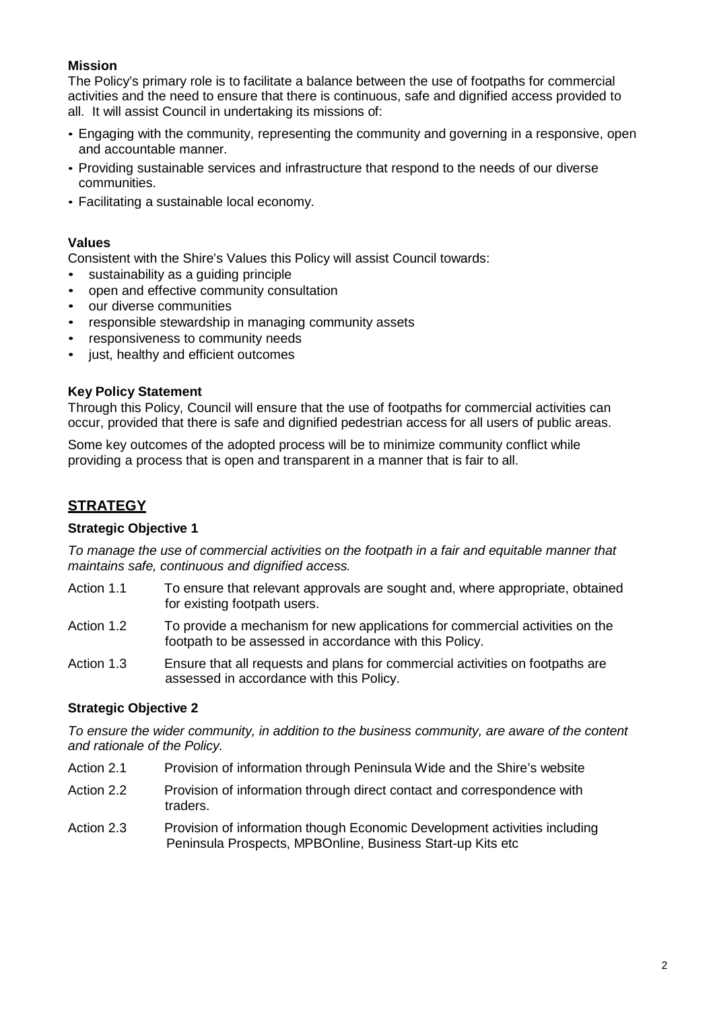#### **Mission**

The Policy's primary role is to facilitate a balance between the use of footpaths for commercial activities and the need to ensure that there is continuous, safe and dignified access provided to all. It will assist Council in undertaking its missions of:

- Engaging with the community, representing the community and governing in a responsive, open and accountable manner.
- Providing sustainable services and infrastructure that respond to the needs of our diverse communities.
- Facilitating a sustainable local economy.

#### **Values**

Consistent with the Shire's Values this Policy will assist Council towards:

- sustainability as a quiding principle
- open and effective community consultation
- our diverse communities
- responsible stewardship in managing community assets
- responsiveness to community needs
- just, healthy and efficient outcomes

#### **Key Policy Statement**

Through this Policy, Council will ensure that the use of footpaths for commercial activities can occur, provided that there is safe and dignified pedestrian access for all users of public areas.

Some key outcomes of the adopted process will be to minimize community conflict while providing a process that is open and transparent in a manner that is fair to all.

# **STRATEGY**

#### **Strategic Objective 1**

*To manage the use of commercial activities on the footpath in a fair and equitable manner that maintains safe, continuous and dignified access.*

- Action 1.1 To ensure that relevant approvals are sought and, where appropriate, obtained for existing footpath users.
- Action 1.2 To provide a mechanism for new applications for commercial activities on the footpath to be assessed in accordance with this Policy.
- Action 1.3 Ensure that all requests and plans for commercial activities on footpaths are assessed in accordance with this Policy.

#### **Strategic Objective 2**

*To ensure the wider community, in addition to the business community, are aware of the content and rationale of the Policy.*

- Action 2.1 Provision of information through Peninsula Wide and the Shire's website
- Action 2.2 Provision of information through direct contact and correspondence with traders.
- Action 2.3 Provision of information though Economic Development activities including Peninsula Prospects, MPBOnline, Business Start-up Kits etc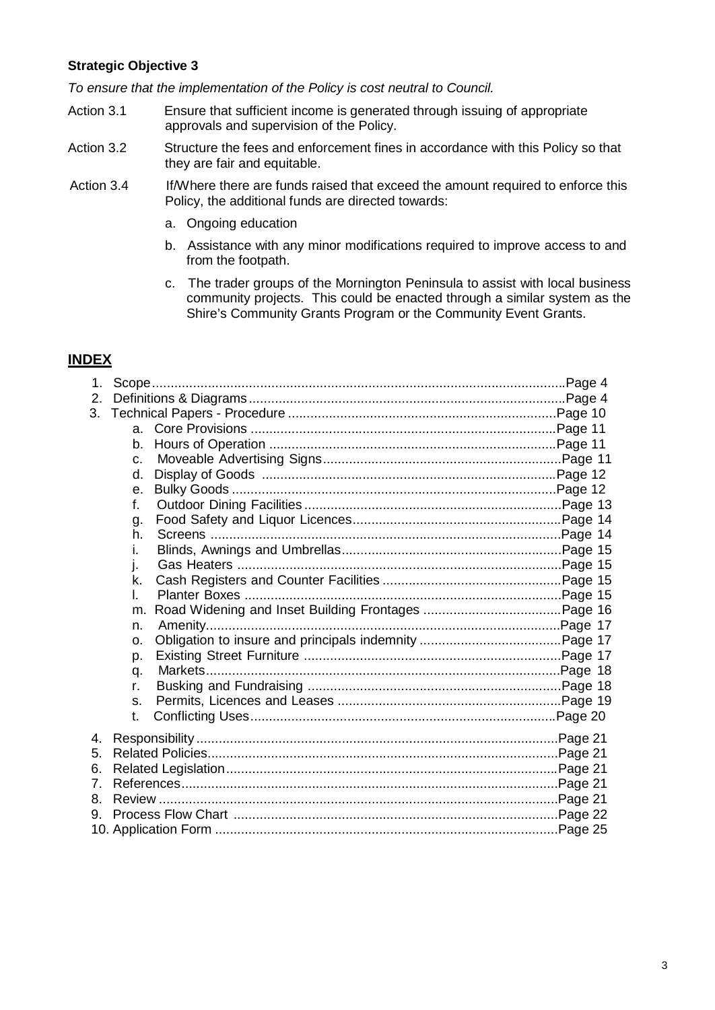#### **Strategic Objective 3**

*To ensure that the implementation of the Policy is cost neutral to Council.*

- Action 3.1 Ensure that sufficient income is generated through issuing of appropriate approvals and supervision of the Policy.
- Action 3.2 Structure the fees and enforcement fines in accordance with this Policy so that they are fair and equitable.
- Action 3.4 If/Where there are funds raised that exceed the amount required to enforce this Policy, the additional funds are directed towards:
	- a. Ongoing education
	- b. Assistance with any minor modifications required to improve access to and from the footpath.
	- c. The trader groups of the Mornington Peninsula to assist with local business community projects. This could be enacted through a similar system as the Shire's Community Grants Program or the Community Event Grants.

#### **INDEX**

| 1. |                |  |  |  |  |
|----|----------------|--|--|--|--|
| 2. |                |  |  |  |  |
|    |                |  |  |  |  |
|    | $a_{-}$        |  |  |  |  |
|    | b.             |  |  |  |  |
|    | $C_{-}$        |  |  |  |  |
|    | d.             |  |  |  |  |
|    | $\mathbf{e}$ . |  |  |  |  |
|    | f.             |  |  |  |  |
|    | g.             |  |  |  |  |
|    | h.             |  |  |  |  |
|    | L.             |  |  |  |  |
|    | İ.             |  |  |  |  |
|    | k.             |  |  |  |  |
|    | L.             |  |  |  |  |
|    | m.             |  |  |  |  |
|    | n.             |  |  |  |  |
|    | 0.             |  |  |  |  |
|    | p.             |  |  |  |  |
|    | q.             |  |  |  |  |
|    | r.             |  |  |  |  |
|    | S.             |  |  |  |  |
|    | t.             |  |  |  |  |
| 4. |                |  |  |  |  |
| 5. |                |  |  |  |  |
| 6. |                |  |  |  |  |
| 7. |                |  |  |  |  |
| 8. |                |  |  |  |  |
| 9. |                |  |  |  |  |
|    |                |  |  |  |  |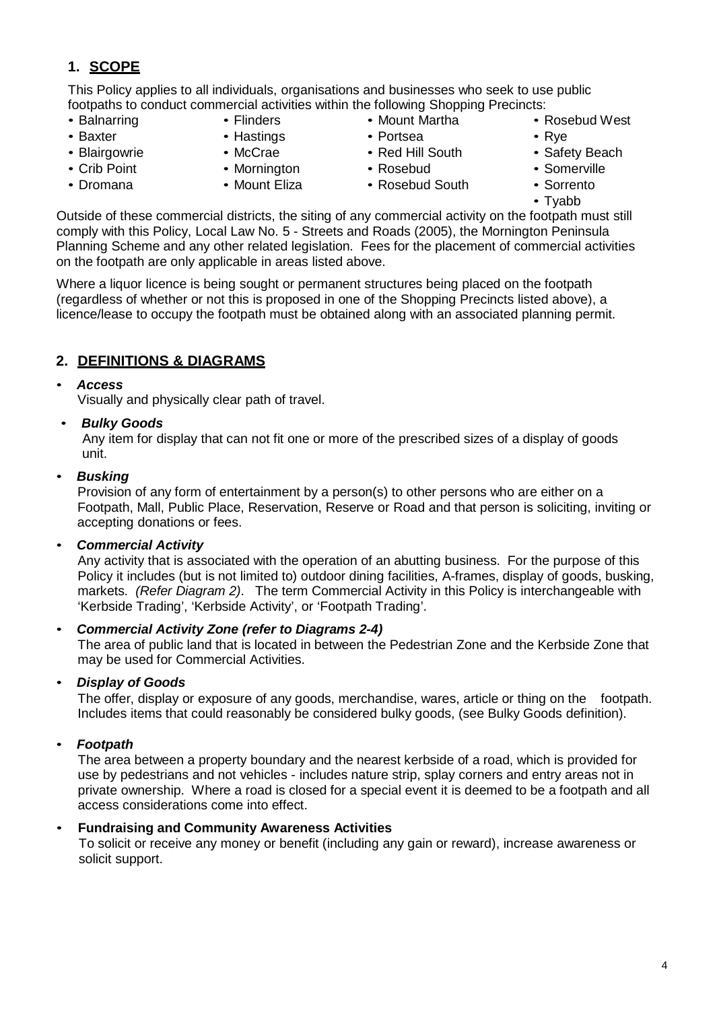# **1. SCOPE**

This Policy applies to all individuals, organisations and businesses who seek to use public footpaths to conduct commercial activities within the following Shopping Precincts: • Mount Martha

- Balnarring • Baxter
- Flinders
	- Hastings
- Blairgowrie • Crib Point

• Dromana

- McCrae
	- Mornington
		- Mount Eliza
- Red Hill South • Rosebud

• Portsea

- Rosebud South
- Rosebud West
- Rye
- Safety Beach
- Somerville
- Sorrento • Tyabb

Outside of these commercial districts, the siting of any commercial activity on the footpath must still comply with this Policy, Local Law No. 5 - Streets and Roads (2005), the Mornington Peninsula Planning Scheme and any other related legislation. Fees for the placement of commercial activities on the footpath are only applicable in areas listed above.

Where a liquor licence is being sought or permanent structures being placed on the footpath (regardless of whether or not this is proposed in one of the Shopping Precincts listed above), a licence/lease to occupy the footpath must be obtained along with an associated planning permit.

# **2. DEFINITIONS & DIAGRAMS**

#### • *Access*

Visually and physically clear path of travel.

## • *Bulky Goods*

Any item for display that can not fit one or more of the prescribed sizes of a display of goods unit.

#### • *Busking*

Provision of any form of entertainment by a person(s) to other persons who are either on a Footpath, Mall, Public Place, Reservation, Reserve or Road and that person is soliciting, inviting or accepting donations or fees.

• *Commercial Activity*

Any activity that is associated with the operation of an abutting business. For the purpose of this Policy it includes (but is not limited to) outdoor dining facilities, A-frames, display of goods, busking, markets. *(Refer Diagram 2)*. The term Commercial Activity in this Policy is interchangeable with 'Kerbside Trading', 'Kerbside Activity', or 'Footpath Trading'.

#### • *Commercial Activity Zone (refer to Diagrams 2-4)*

The area of public land that is located in between the Pedestrian Zone and the Kerbside Zone that may be used for Commercial Activities.

#### • *Display of Goods*

The offer, display or exposure of any goods, merchandise, wares, article or thing on the footpath. Includes items that could reasonably be considered bulky goods, (see Bulky Goods definition).

## • *Footpath*

The area between a property boundary and the nearest kerbside of a road, which is provided for use by pedestrians and not vehicles - includes nature strip, splay corners and entry areas not in private ownership. Where a road is closed for a special event it is deemed to be a footpath and all access considerations come into effect.

#### • **Fundraising and Community Awareness Activities**

To solicit or receive any money or benefit (including any gain or reward), increase awareness or solicit support.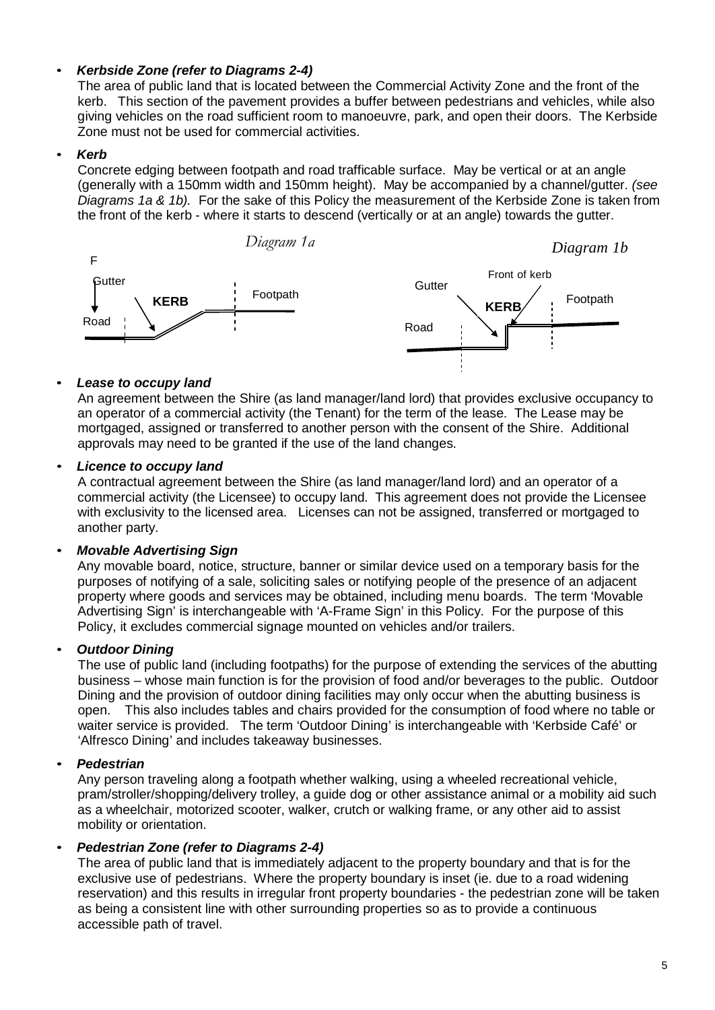### • *Kerbside Zone (refer to Diagrams 2-4)*

The area of public land that is located between the Commercial Activity Zone and the front of the kerb. This section of the pavement provides a buffer between pedestrians and vehicles, while also giving vehicles on the road sufficient room to manoeuvre, park, and open their doors. The Kerbside Zone must not be used for commercial activities.

#### • *Kerb*

Concrete edging between footpath and road trafficable surface. May be vertical or at an angle (generally with a 150mm width and 150mm height). May be accompanied by a channel/gutter. *(see Diagrams 1a & 1b).* For the sake of this Policy the measurement of the Kerbside Zone is taken from the front of the kerb - where it starts to descend (vertically or at an angle) towards the gutter.



#### • *Lease to occupy land*

An agreement between the Shire (as land manager/land lord) that provides exclusive occupancy to an operator of a commercial activity (the Tenant) for the term of the lease. The Lease may be mortgaged, assigned or transferred to another person with the consent of the Shire. Additional approvals may need to be granted if the use of the land changes.

#### • *Licence to occupy land*

A contractual agreement between the Shire (as land manager/land lord) and an operator of a commercial activity (the Licensee) to occupy land. This agreement does not provide the Licensee with exclusivity to the licensed area. Licenses can not be assigned, transferred or mortgaged to another party.

#### • *Movable Advertising Sign*

Any movable board, notice, structure, banner or similar device used on a temporary basis for the purposes of notifying of a sale, soliciting sales or notifying people of the presence of an adjacent property where goods and services may be obtained, including menu boards. The term 'Movable Advertising Sign' is interchangeable with 'A-Frame Sign' in this Policy. For the purpose of this Policy, it excludes commercial signage mounted on vehicles and/or trailers.

#### • *Outdoor Dining*

The use of public land (including footpaths) for the purpose of extending the services of the abutting business – whose main function is for the provision of food and/or beverages to the public. Outdoor Dining and the provision of outdoor dining facilities may only occur when the abutting business is open. This also includes tables and chairs provided for the consumption of food where no table or waiter service is provided. The term 'Outdoor Dining' is interchangeable with 'Kerbside Café' or 'Alfresco Dining' and includes takeaway businesses.

#### • *Pedestrian*

Any person traveling along a footpath whether walking, using a wheeled recreational vehicle, pram/stroller/shopping/delivery trolley, a guide dog or other assistance animal or a mobility aid such as a wheelchair, motorized scooter, walker, crutch or walking frame, or any other aid to assist mobility or orientation.

#### • *Pedestrian Zone (refer to Diagrams 2-4)*

The area of public land that is immediately adjacent to the property boundary and that is for the exclusive use of pedestrians. Where the property boundary is inset (ie. due to a road widening reservation) and this results in irregular front property boundaries - the pedestrian zone will be taken as being a consistent line with other surrounding properties so as to provide a continuous accessible path of travel.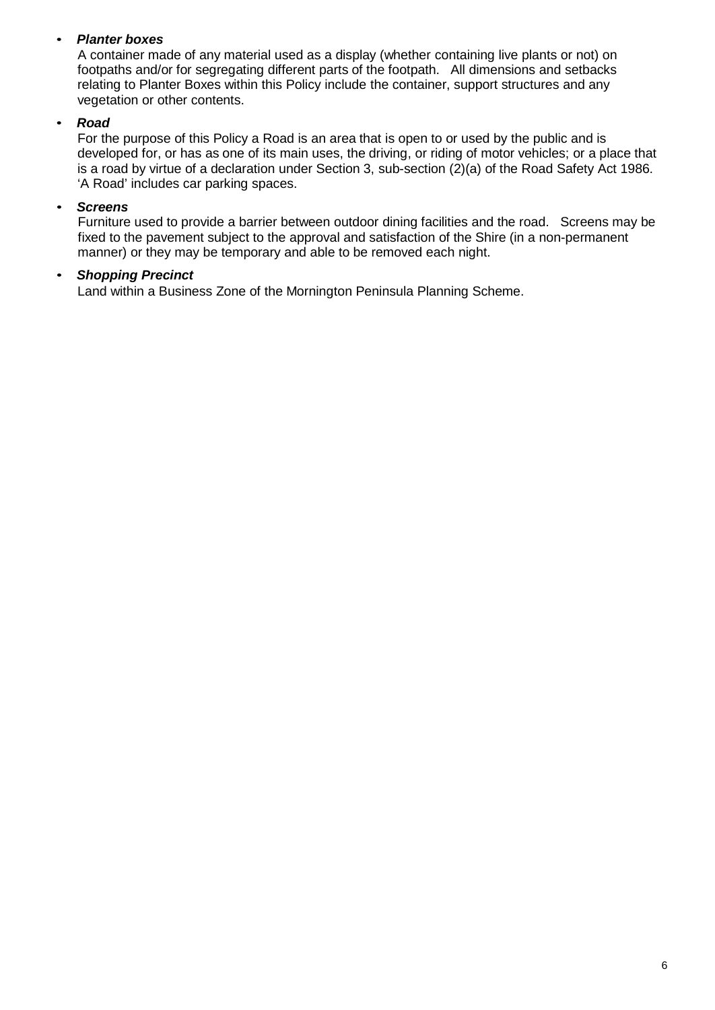### • *Planter boxes*

A container made of any material used as a display (whether containing live plants or not) on footpaths and/or for segregating different parts of the footpath. All dimensions and setbacks relating to Planter Boxes within this Policy include the container, support structures and any vegetation or other contents.

#### • *Road*

For the purpose of this Policy a Road is an area that is open to or used by the public and is developed for, or has as one of its main uses, the driving, or riding of motor vehicles; or a place that is a road by virtue of a declaration under Section 3, sub-section (2)(a) of the Road Safety Act 1986. 'A Road' includes car parking spaces.

#### • *Screens*

Furniture used to provide a barrier between outdoor dining facilities and the road. Screens may be fixed to the pavement subject to the approval and satisfaction of the Shire (in a non-permanent manner) or they may be temporary and able to be removed each night.

#### • *Shopping Precinct*

Land within a Business Zone of the Mornington Peninsula Planning Scheme.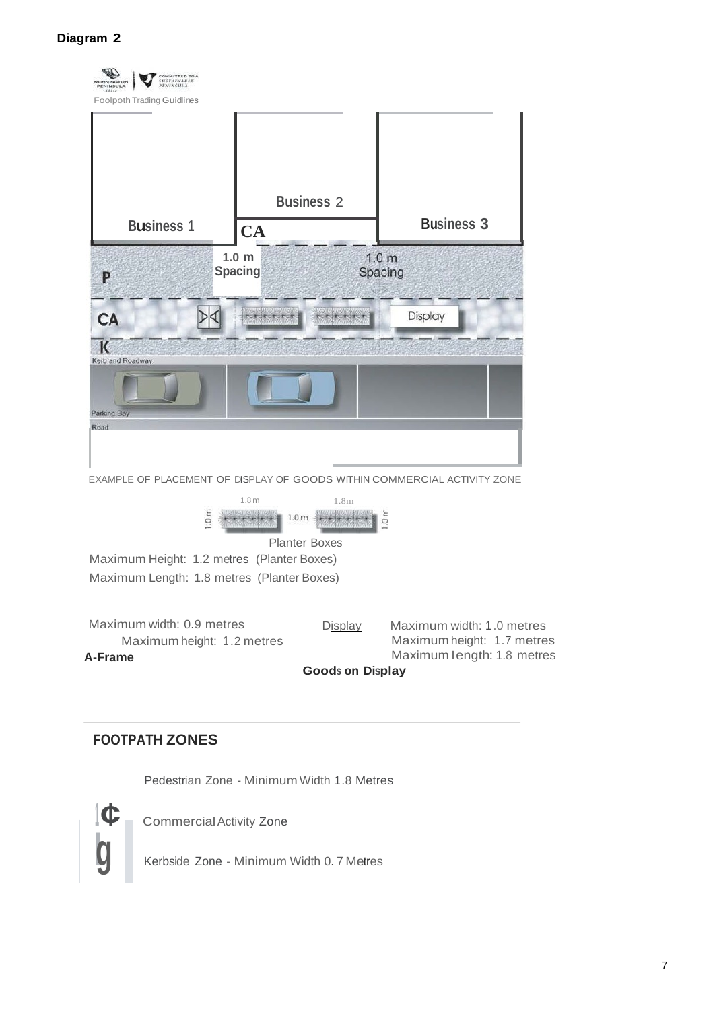

# **FOOTPATH ZONES**

Pedestrian Zone - Minimum Width 1.8 Metres



**<sup>1</sup> ¢** CommercialActivity Zone

**lg** Kerbside Zone - Minimum Width 0. <sup>7</sup> Metres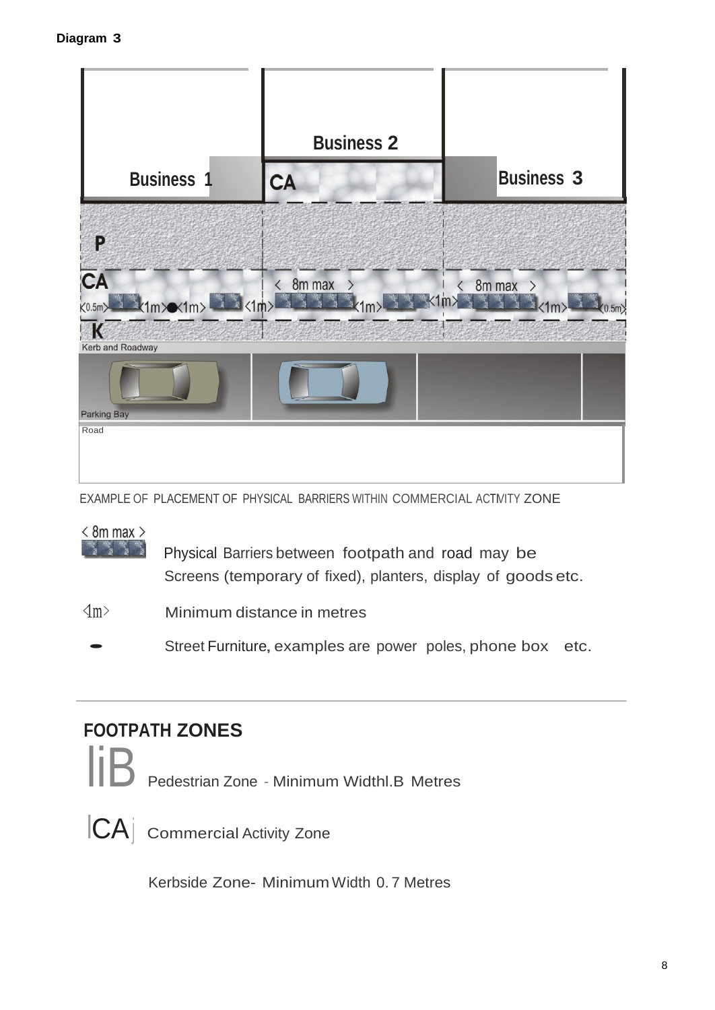

EXAMPLE OF PLACEMENT OF PHYSICAL BARRIERS WITHIN COMMERCIAL ACTIVITY ZONE

# $< 8m$  max  $>$

**Physical Barriers between footpath and road may be** Screens (temporary of fixed), planters, display of goods etc.

 $\langle \text{Im} \rangle$  Minimum distance in metres

Street Furniture, examples are power poles, phone box etc.

# **FOOTPATH ZONES**

Pedestrian Zone - Minimum Widthl.B Metres



ICAj Commercial Activity Zone

Kerbside Zone- MinimumWidth 0. 7 Metres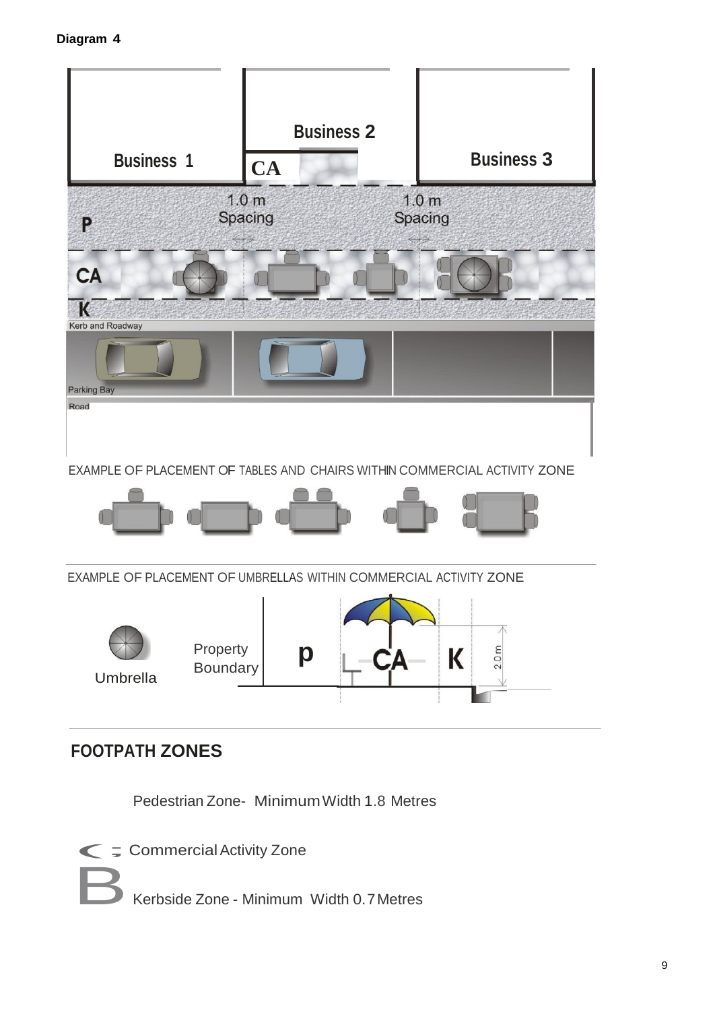

# **FOOTPATH ZONES**

Pedestrian Zone- MinimumWidth 1.8 Metres



BKerbside Zone - Minimum Width 0.7Metres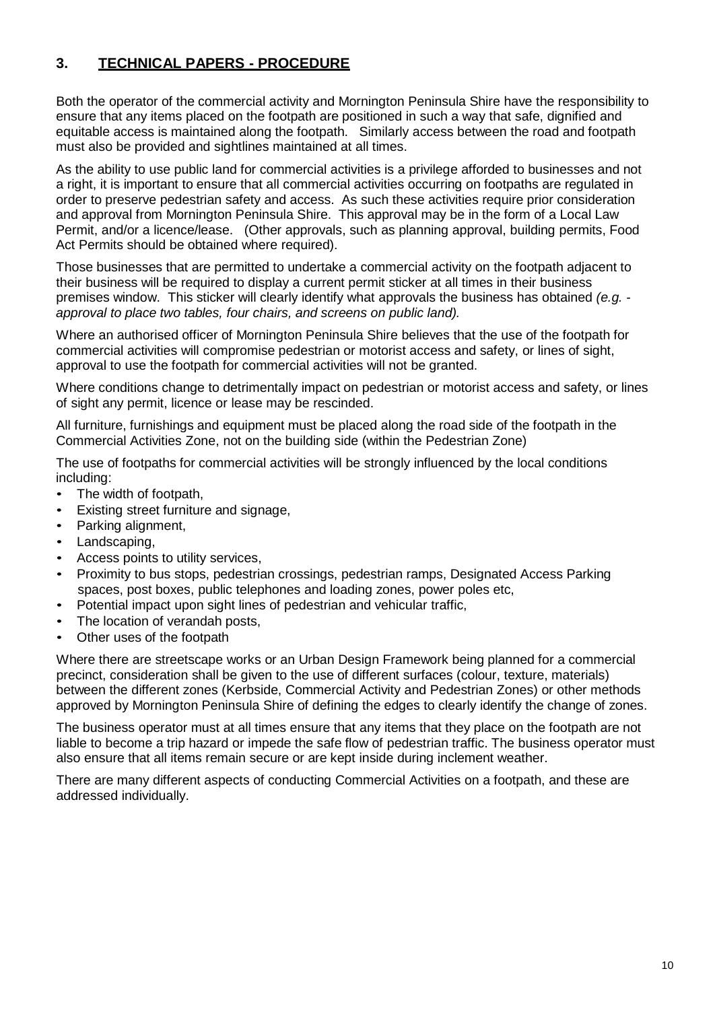# **3. TECHNICAL PAPERS - PROCEDURE**

Both the operator of the commercial activity and Mornington Peninsula Shire have the responsibility to ensure that any items placed on the footpath are positioned in such a way that safe, dignified and equitable access is maintained along the footpath. Similarly access between the road and footpath must also be provided and sightlines maintained at all times.

As the ability to use public land for commercial activities is a privilege afforded to businesses and not a right, it is important to ensure that all commercial activities occurring on footpaths are regulated in order to preserve pedestrian safety and access. As such these activities require prior consideration and approval from Mornington Peninsula Shire. This approval may be in the form of a Local Law Permit, and/or a licence/lease. (Other approvals, such as planning approval, building permits, Food Act Permits should be obtained where required).

Those businesses that are permitted to undertake a commercial activity on the footpath adjacent to their business will be required to display a current permit sticker at all times in their business premises window. This sticker will clearly identify what approvals the business has obtained *(e.g. approval to place two tables, four chairs, and screens on public land).*

Where an authorised officer of Mornington Peninsula Shire believes that the use of the footpath for commercial activities will compromise pedestrian or motorist access and safety, or lines of sight, approval to use the footpath for commercial activities will not be granted.

Where conditions change to detrimentally impact on pedestrian or motorist access and safety, or lines of sight any permit, licence or lease may be rescinded.

All furniture, furnishings and equipment must be placed along the road side of the footpath in the Commercial Activities Zone, not on the building side (within the Pedestrian Zone)

The use of footpaths for commercial activities will be strongly influenced by the local conditions including:

- The width of footpath,
- Existing street furniture and signage,
- Parking alignment,
- Landscaping,
- Access points to utility services,
- Proximity to bus stops, pedestrian crossings, pedestrian ramps, Designated Access Parking spaces, post boxes, public telephones and loading zones, power poles etc,
- Potential impact upon sight lines of pedestrian and vehicular traffic,
- The location of verandah posts,
- Other uses of the footpath

Where there are streetscape works or an Urban Design Framework being planned for a commercial precinct, consideration shall be given to the use of different surfaces (colour, texture, materials) between the different zones (Kerbside, Commercial Activity and Pedestrian Zones) or other methods approved by Mornington Peninsula Shire of defining the edges to clearly identify the change of zones.

The business operator must at all times ensure that any items that they place on the footpath are not liable to become a trip hazard or impede the safe flow of pedestrian traffic. The business operator must also ensure that all items remain secure or are kept inside during inclement weather.

There are many different aspects of conducting Commercial Activities on a footpath, and these are addressed individually.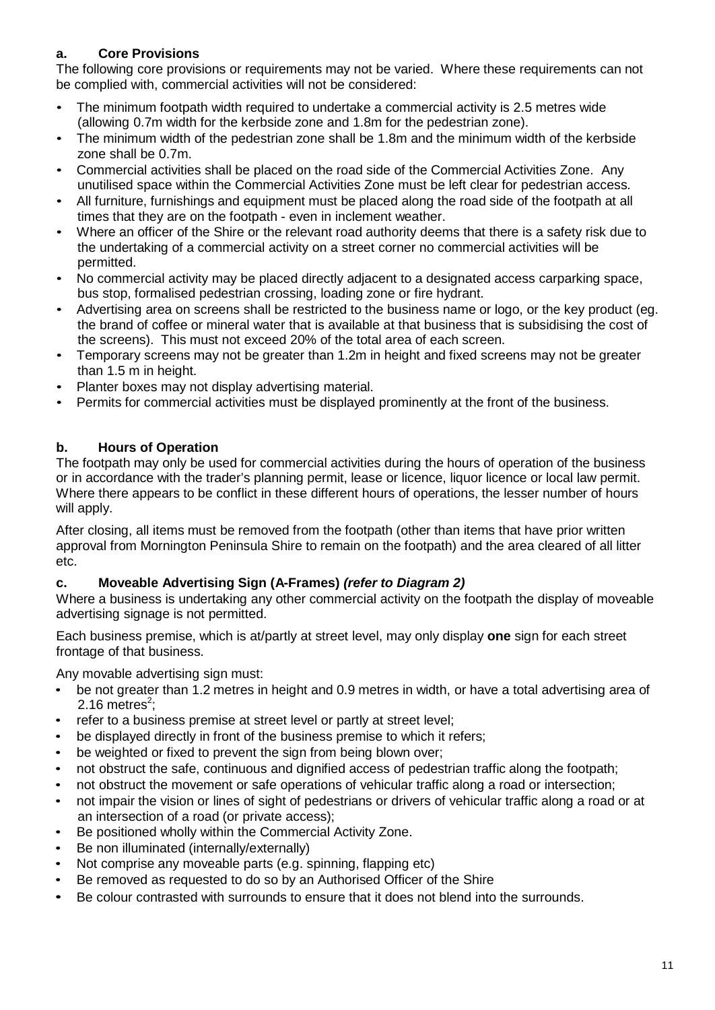## **a. Core Provisions**

The following core provisions or requirements may not be varied. Where these requirements can not be complied with, commercial activities will not be considered:

- The minimum footpath width required to undertake a commercial activity is 2.5 metres wide (allowing 0.7m width for the kerbside zone and 1.8m for the pedestrian zone).
- The minimum width of the pedestrian zone shall be 1.8m and the minimum width of the kerbside zone shall be 0.7m.
- Commercial activities shall be placed on the road side of the Commercial Activities Zone. Any unutilised space within the Commercial Activities Zone must be left clear for pedestrian access.
- All furniture, furnishings and equipment must be placed along the road side of the footpath at all times that they are on the footpath - even in inclement weather.
- Where an officer of the Shire or the relevant road authority deems that there is a safety risk due to the undertaking of a commercial activity on a street corner no commercial activities will be permitted.
- No commercial activity may be placed directly adjacent to a designated access carparking space, bus stop, formalised pedestrian crossing, loading zone or fire hydrant.
- Advertising area on screens shall be restricted to the business name or logo, or the key product (eg. the brand of coffee or mineral water that is available at that business that is subsidising the cost of the screens). This must not exceed 20% of the total area of each screen.
- Temporary screens may not be greater than 1.2m in height and fixed screens may not be greater than 1.5 m in height.
- Planter boxes may not display advertising material.
- Permits for commercial activities must be displayed prominently at the front of the business.

#### **b. Hours of Operation**

The footpath may only be used for commercial activities during the hours of operation of the business or in accordance with the trader's planning permit, lease or licence, liquor licence or local law permit. Where there appears to be conflict in these different hours of operations, the lesser number of hours will apply.

After closing, all items must be removed from the footpath (other than items that have prior written approval from Mornington Peninsula Shire to remain on the footpath) and the area cleared of all litter etc.

#### **c. Moveable Advertising Sign (A-Frames)** *(refer to Diagram 2)*

Where a business is undertaking any other commercial activity on the footpath the display of moveable advertising signage is not permitted.

Each business premise, which is at/partly at street level, may only display **one** sign for each street frontage of that business.

Any movable advertising sign must:

- be not greater than 1.2 metres in height and 0.9 metres in width, or have a total advertising area of 2.16 metres<sup>2</sup>;
- refer to a business premise at street level or partly at street level;
- be displayed directly in front of the business premise to which it refers;
- be weighted or fixed to prevent the sign from being blown over;
- not obstruct the safe, continuous and dignified access of pedestrian traffic along the footpath;
- not obstruct the movement or safe operations of vehicular traffic along a road or intersection;
- not impair the vision or lines of sight of pedestrians or drivers of vehicular traffic along a road or at an intersection of a road (or private access);
- Be positioned wholly within the Commercial Activity Zone.
- Be non illuminated (internally/externally)
- Not comprise any moveable parts (e.g. spinning, flapping etc)
- Be removed as requested to do so by an Authorised Officer of the Shire
- Be colour contrasted with surrounds to ensure that it does not blend into the surrounds.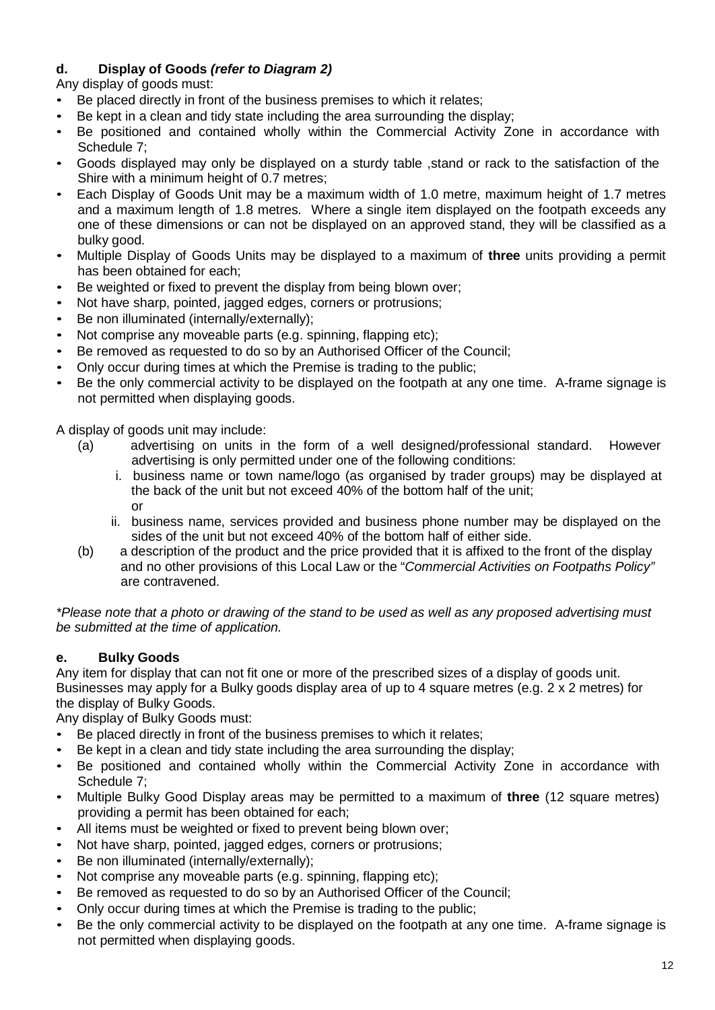## **d. Display of Goods** *(refer to Diagram 2)*

Any display of goods must:

- Be placed directly in front of the business premises to which it relates;
- Be kept in a clean and tidy state including the area surrounding the display;
- Be positioned and contained wholly within the Commercial Activity Zone in accordance with Schedule 7;
- Goods displayed may only be displayed on a sturdy table ,stand or rack to the satisfaction of the Shire with a minimum height of 0.7 metres;
- Each Display of Goods Unit may be a maximum width of 1.0 metre, maximum height of 1.7 metres and a maximum length of 1.8 metres. Where a single item displayed on the footpath exceeds any one of these dimensions or can not be displayed on an approved stand, they will be classified as a bulky good.
- Multiple Display of Goods Units may be displayed to a maximum of **three** units providing a permit has been obtained for each;
- Be weighted or fixed to prevent the display from being blown over;
- Not have sharp, pointed, jagged edges, corners or protrusions;
- Be non illuminated (internally/externally);
- Not comprise any moveable parts (e.g. spinning, flapping etc);
- Be removed as requested to do so by an Authorised Officer of the Council;
- Only occur during times at which the Premise is trading to the public;
- Be the only commercial activity to be displayed on the footpath at any one time. A-frame signage is not permitted when displaying goods.

A display of goods unit may include:

- (a) advertising on units in the form of a well designed/professional standard. However advertising is only permitted under one of the following conditions:
	- i. business name or town name/logo (as organised by trader groups) may be displayed at the back of the unit but not exceed 40% of the bottom half of the unit; or
	- ii. business name, services provided and business phone number may be displayed on the sides of the unit but not exceed 40% of the bottom half of either side.
- (b) a description of the product and the price provided that it is affixed to the front of the display and no other provisions of this Local Law or the "*Commercial Activities on Footpaths Policy"* are contravened.

*\*Please note that a photo or drawing of the stand to be used as well as any proposed advertising must be submitted at the time of application.*

## **e. Bulky Goods**

Any item for display that can not fit one or more of the prescribed sizes of a display of goods unit. Businesses may apply for a Bulky goods display area of up to 4 square metres (e.g. 2 x 2 metres) for the display of Bulky Goods.

Any display of Bulky Goods must:

- Be placed directly in front of the business premises to which it relates;
- Be kept in a clean and tidy state including the area surrounding the display;
- Be positioned and contained wholly within the Commercial Activity Zone in accordance with Schedule 7;
- Multiple Bulky Good Display areas may be permitted to a maximum of **three** (12 square metres) providing a permit has been obtained for each;
- All items must be weighted or fixed to prevent being blown over;
- Not have sharp, pointed, jagged edges, corners or protrusions;
- Be non illuminated (internally/externally);
- Not comprise any moveable parts (e.g. spinning, flapping etc);
- Be removed as requested to do so by an Authorised Officer of the Council;
- Only occur during times at which the Premise is trading to the public;
- Be the only commercial activity to be displayed on the footpath at any one time. A-frame signage is not permitted when displaying goods.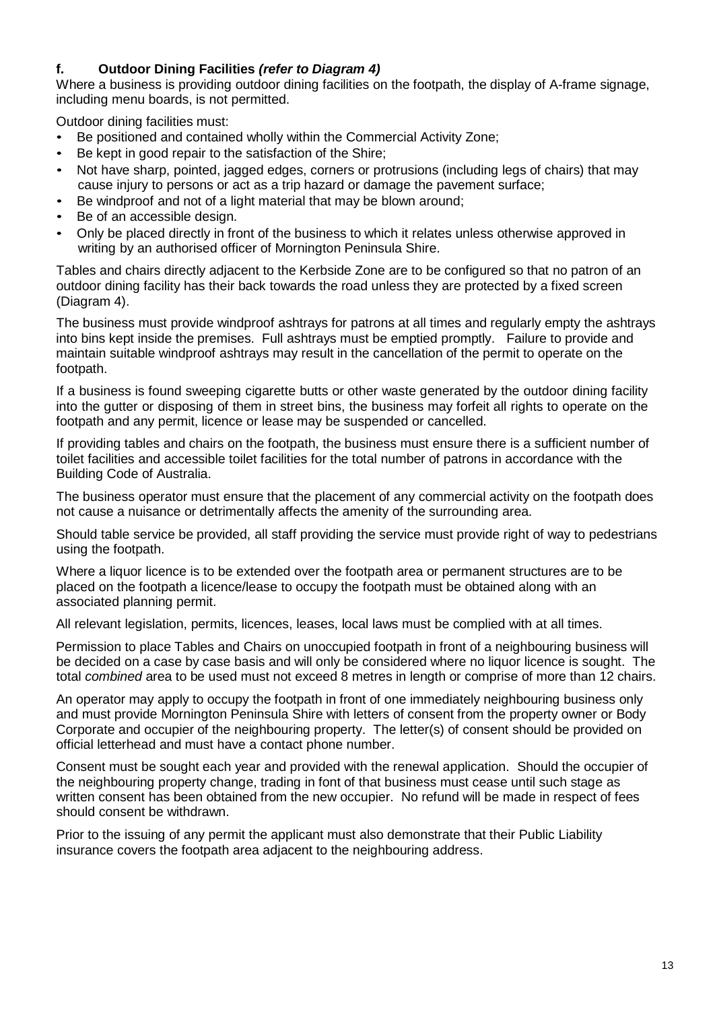#### **f. Outdoor Dining Facilities** *(refer to Diagram 4)*

Where a business is providing outdoor dining facilities on the footpath, the display of A-frame signage, including menu boards, is not permitted.

Outdoor dining facilities must:

- Be positioned and contained wholly within the Commercial Activity Zone;
- Be kept in good repair to the satisfaction of the Shire;
- Not have sharp, pointed, jagged edges, corners or protrusions (including legs of chairs) that may cause injury to persons or act as a trip hazard or damage the pavement surface;
- Be windproof and not of a light material that may be blown around;
- Be of an accessible design.
- Only be placed directly in front of the business to which it relates unless otherwise approved in writing by an authorised officer of Mornington Peninsula Shire.

Tables and chairs directly adjacent to the Kerbside Zone are to be configured so that no patron of an outdoor dining facility has their back towards the road unless they are protected by a fixed screen (Diagram 4).

The business must provide windproof ashtrays for patrons at all times and regularly empty the ashtrays into bins kept inside the premises. Full ashtrays must be emptied promptly. Failure to provide and maintain suitable windproof ashtrays may result in the cancellation of the permit to operate on the footpath.

If a business is found sweeping cigarette butts or other waste generated by the outdoor dining facility into the gutter or disposing of them in street bins, the business may forfeit all rights to operate on the footpath and any permit, licence or lease may be suspended or cancelled.

If providing tables and chairs on the footpath, the business must ensure there is a sufficient number of toilet facilities and accessible toilet facilities for the total number of patrons in accordance with the Building Code of Australia.

The business operator must ensure that the placement of any commercial activity on the footpath does not cause a nuisance or detrimentally affects the amenity of the surrounding area.

Should table service be provided, all staff providing the service must provide right of way to pedestrians using the footpath.

Where a liquor licence is to be extended over the footpath area or permanent structures are to be placed on the footpath a licence/lease to occupy the footpath must be obtained along with an associated planning permit.

All relevant legislation, permits, licences, leases, local laws must be complied with at all times.

Permission to place Tables and Chairs on unoccupied footpath in front of a neighbouring business will be decided on a case by case basis and will only be considered where no liquor licence is sought. The total *combined* area to be used must not exceed 8 metres in length or comprise of more than 12 chairs.

An operator may apply to occupy the footpath in front of one immediately neighbouring business only and must provide Mornington Peninsula Shire with letters of consent from the property owner or Body Corporate and occupier of the neighbouring property. The letter(s) of consent should be provided on official letterhead and must have a contact phone number.

Consent must be sought each year and provided with the renewal application. Should the occupier of the neighbouring property change, trading in font of that business must cease until such stage as written consent has been obtained from the new occupier. No refund will be made in respect of fees should consent be withdrawn.

Prior to the issuing of any permit the applicant must also demonstrate that their Public Liability insurance covers the footpath area adjacent to the neighbouring address.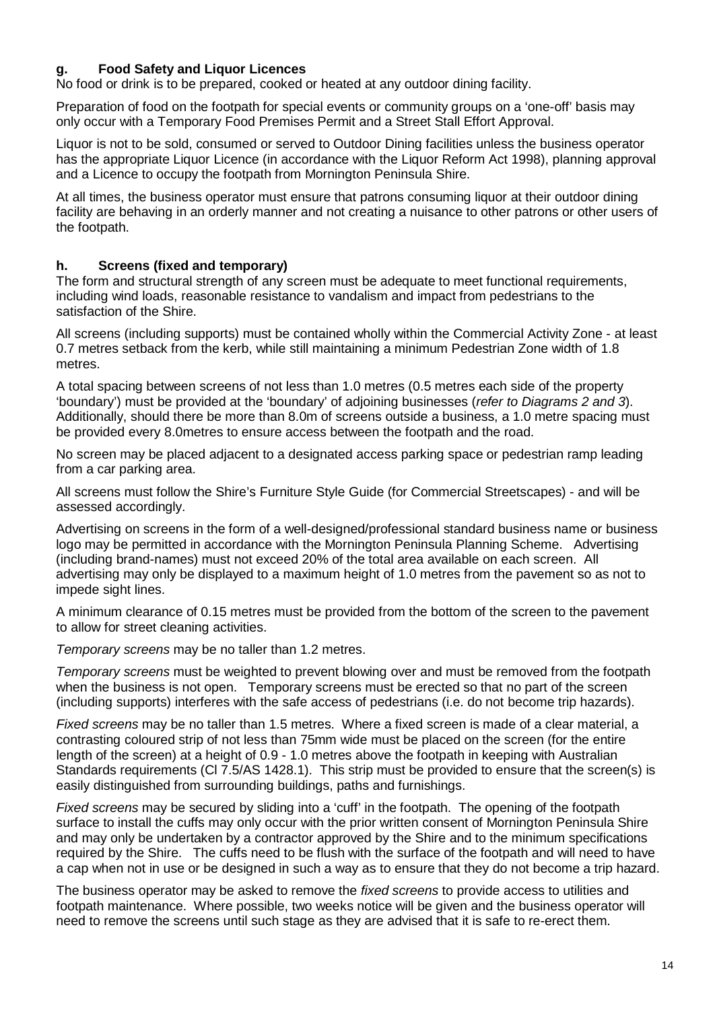### **g. Food Safety and Liquor Licences**

No food or drink is to be prepared, cooked or heated at any outdoor dining facility.

Preparation of food on the footpath for special events or community groups on a 'one-off' basis may only occur with a Temporary Food Premises Permit and a Street Stall Effort Approval.

Liquor is not to be sold, consumed or served to Outdoor Dining facilities unless the business operator has the appropriate Liquor Licence (in accordance with the Liquor Reform Act 1998), planning approval and a Licence to occupy the footpath from Mornington Peninsula Shire.

At all times, the business operator must ensure that patrons consuming liquor at their outdoor dining facility are behaving in an orderly manner and not creating a nuisance to other patrons or other users of the footpath.

#### **h. Screens (fixed and temporary)**

The form and structural strength of any screen must be adequate to meet functional requirements, including wind loads, reasonable resistance to vandalism and impact from pedestrians to the satisfaction of the Shire.

All screens (including supports) must be contained wholly within the Commercial Activity Zone - at least 0.7 metres setback from the kerb, while still maintaining a minimum Pedestrian Zone width of 1.8 metres.

A total spacing between screens of not less than 1.0 metres (0.5 metres each side of the property 'boundary') must be provided at the 'boundary' of adjoining businesses (*refer to Diagrams 2 and 3*). Additionally, should there be more than 8.0m of screens outside a business, a 1.0 metre spacing must be provided every 8.0metres to ensure access between the footpath and the road.

No screen may be placed adjacent to a designated access parking space or pedestrian ramp leading from a car parking area.

All screens must follow the Shire's Furniture Style Guide (for Commercial Streetscapes) - and will be assessed accordingly.

Advertising on screens in the form of a well-designed/professional standard business name or business logo may be permitted in accordance with the Mornington Peninsula Planning Scheme. Advertising (including brand-names) must not exceed 20% of the total area available on each screen. All advertising may only be displayed to a maximum height of 1.0 metres from the pavement so as not to impede sight lines.

A minimum clearance of 0.15 metres must be provided from the bottom of the screen to the pavement to allow for street cleaning activities.

*Temporary screens* may be no taller than 1.2 metres.

*Temporary screens* must be weighted to prevent blowing over and must be removed from the footpath when the business is not open. Temporary screens must be erected so that no part of the screen (including supports) interferes with the safe access of pedestrians (i.e. do not become trip hazards).

*Fixed screens* may be no taller than 1.5 metres. Where a fixed screen is made of a clear material, a contrasting coloured strip of not less than 75mm wide must be placed on the screen (for the entire length of the screen) at a height of 0.9 - 1.0 metres above the footpath in keeping with Australian Standards requirements (Cl 7.5/AS 1428.1). This strip must be provided to ensure that the screen(s) is easily distinguished from surrounding buildings, paths and furnishings.

*Fixed screens* may be secured by sliding into a 'cuff' in the footpath. The opening of the footpath surface to install the cuffs may only occur with the prior written consent of Mornington Peninsula Shire and may only be undertaken by a contractor approved by the Shire and to the minimum specifications required by the Shire. The cuffs need to be flush with the surface of the footpath and will need to have a cap when not in use or be designed in such a way as to ensure that they do not become a trip hazard.

The business operator may be asked to remove the *fixed screens* to provide access to utilities and footpath maintenance. Where possible, two weeks notice will be given and the business operator will need to remove the screens until such stage as they are advised that it is safe to re-erect them.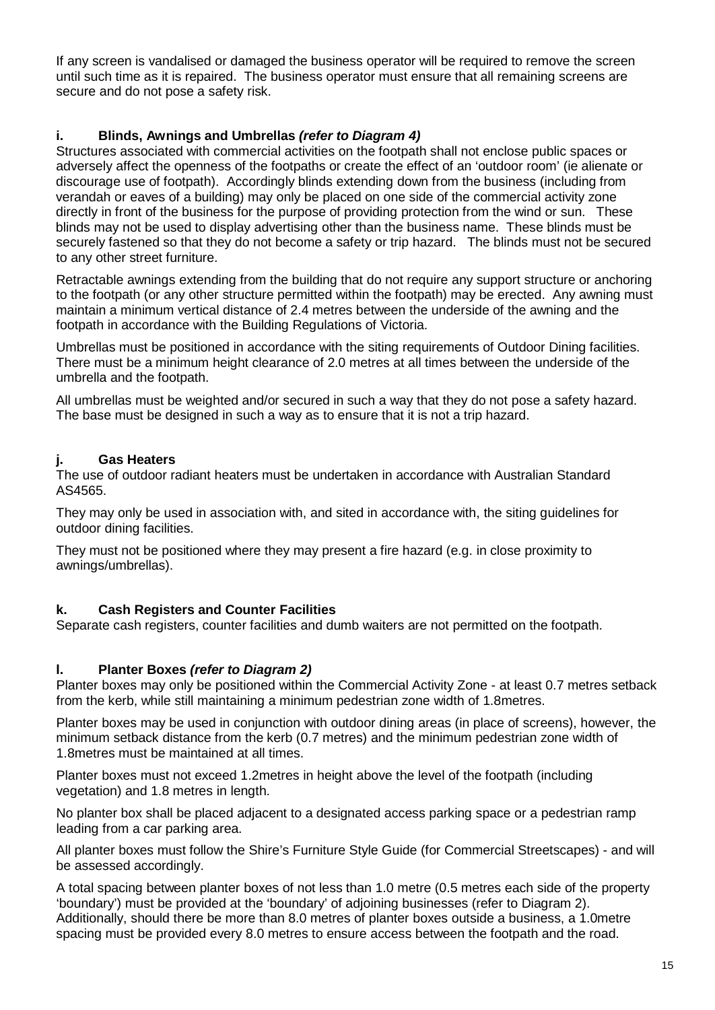If any screen is vandalised or damaged the business operator will be required to remove the screen until such time as it is repaired. The business operator must ensure that all remaining screens are secure and do not pose a safety risk.

#### **i. Blinds, Awnings and Umbrellas** *(refer to Diagram 4)*

Structures associated with commercial activities on the footpath shall not enclose public spaces or adversely affect the openness of the footpaths or create the effect of an 'outdoor room' (ie alienate or discourage use of footpath). Accordingly blinds extending down from the business (including from verandah or eaves of a building) may only be placed on one side of the commercial activity zone directly in front of the business for the purpose of providing protection from the wind or sun. These blinds may not be used to display advertising other than the business name. These blinds must be securely fastened so that they do not become a safety or trip hazard. The blinds must not be secured to any other street furniture.

Retractable awnings extending from the building that do not require any support structure or anchoring to the footpath (or any other structure permitted within the footpath) may be erected. Any awning must maintain a minimum vertical distance of 2.4 metres between the underside of the awning and the footpath in accordance with the Building Regulations of Victoria.

Umbrellas must be positioned in accordance with the siting requirements of Outdoor Dining facilities. There must be a minimum height clearance of 2.0 metres at all times between the underside of the umbrella and the footpath.

All umbrellas must be weighted and/or secured in such a way that they do not pose a safety hazard. The base must be designed in such a way as to ensure that it is not a trip hazard.

#### **j. Gas Heaters**

The use of outdoor radiant heaters must be undertaken in accordance with Australian Standard AS4565.

They may only be used in association with, and sited in accordance with, the siting guidelines for outdoor dining facilities.

They must not be positioned where they may present a fire hazard (e.g. in close proximity to awnings/umbrellas).

#### **k. Cash Registers and Counter Facilities**

Separate cash registers, counter facilities and dumb waiters are not permitted on the footpath.

#### **l. Planter Boxes** *(refer to Diagram 2)*

Planter boxes may only be positioned within the Commercial Activity Zone - at least 0.7 metres setback from the kerb, while still maintaining a minimum pedestrian zone width of 1.8metres.

Planter boxes may be used in conjunction with outdoor dining areas (in place of screens), however, the minimum setback distance from the kerb (0.7 metres) and the minimum pedestrian zone width of 1.8metres must be maintained at all times.

Planter boxes must not exceed 1.2metres in height above the level of the footpath (including vegetation) and 1.8 metres in length.

No planter box shall be placed adjacent to a designated access parking space or a pedestrian ramp leading from a car parking area.

All planter boxes must follow the Shire's Furniture Style Guide (for Commercial Streetscapes) - and will be assessed accordingly.

A total spacing between planter boxes of not less than 1.0 metre (0.5 metres each side of the property 'boundary') must be provided at the 'boundary' of adjoining businesses (refer to Diagram 2). Additionally, should there be more than 8.0 metres of planter boxes outside a business, a 1.0metre spacing must be provided every 8.0 metres to ensure access between the footpath and the road.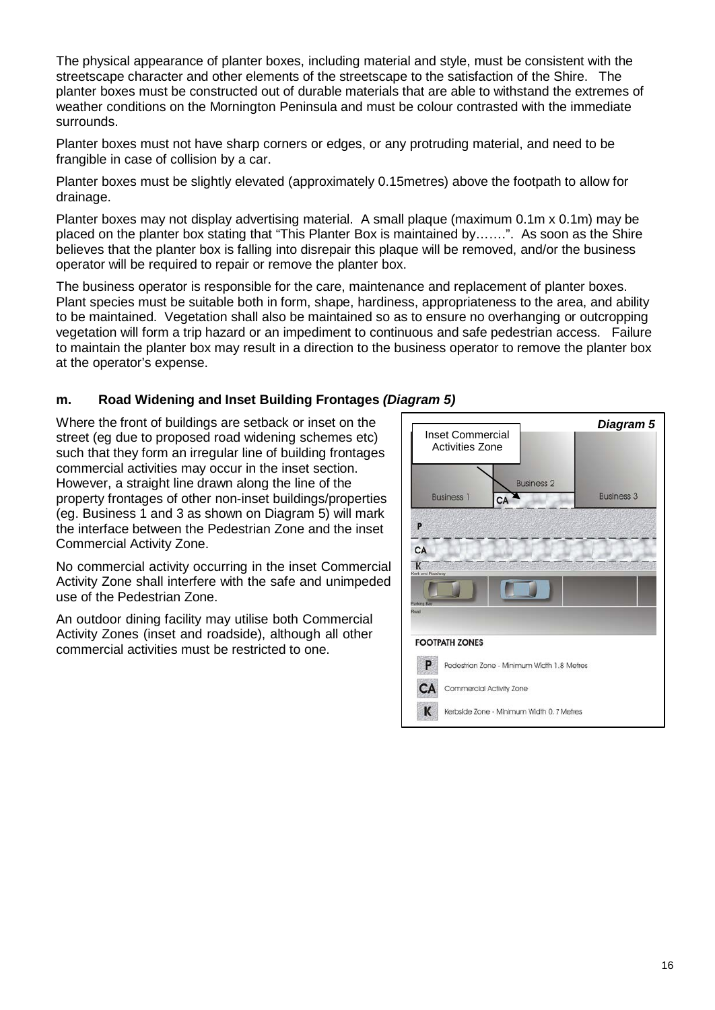The physical appearance of planter boxes, including material and style, must be consistent with the streetscape character and other elements of the streetscape to the satisfaction of the Shire. The planter boxes must be constructed out of durable materials that are able to withstand the extremes of weather conditions on the Mornington Peninsula and must be colour contrasted with the immediate surrounds.

Planter boxes must not have sharp corners or edges, or any protruding material, and need to be frangible in case of collision by a car.

Planter boxes must be slightly elevated (approximately 0.15metres) above the footpath to allow for drainage.

Planter boxes may not display advertising material. A small plaque (maximum 0.1m x 0.1m) may be placed on the planter box stating that "This Planter Box is maintained by…….". As soon as the Shire believes that the planter box is falling into disrepair this plaque will be removed, and/or the business operator will be required to repair or remove the planter box.

The business operator is responsible for the care, maintenance and replacement of planter boxes. Plant species must be suitable both in form, shape, hardiness, appropriateness to the area, and ability to be maintained. Vegetation shall also be maintained so as to ensure no overhanging or outcropping vegetation will form a trip hazard or an impediment to continuous and safe pedestrian access. Failure to maintain the planter box may result in a direction to the business operator to remove the planter box at the operator's expense.

#### **m. Road Widening and Inset Building Frontages** *(Diagram 5)*

Where the front of buildings are setback or inset on the  $\vert$  **Fig. All and** *Diagram* 5 street (eg due to proposed road widening schemes etc) such that they form an irregular line of building frontages commercial activities may occur in the inset section. However, a straight line drawn along the line of the property frontages of other non-inset buildings/properties (eg. Business 1 and 3 as shown on Diagram 5) will mark the interface between the Pedestrian Zone and the inset Commercial Activity Zone.

No commercial activity occurring in the inset Commercial Activity Zone shall interfere with the safe and unimpeded use of the Pedestrian Zone.

An outdoor dining facility may utilise both Commercial Activity Zones (inset and roadside), although all other commercial activities must be restricted to one.

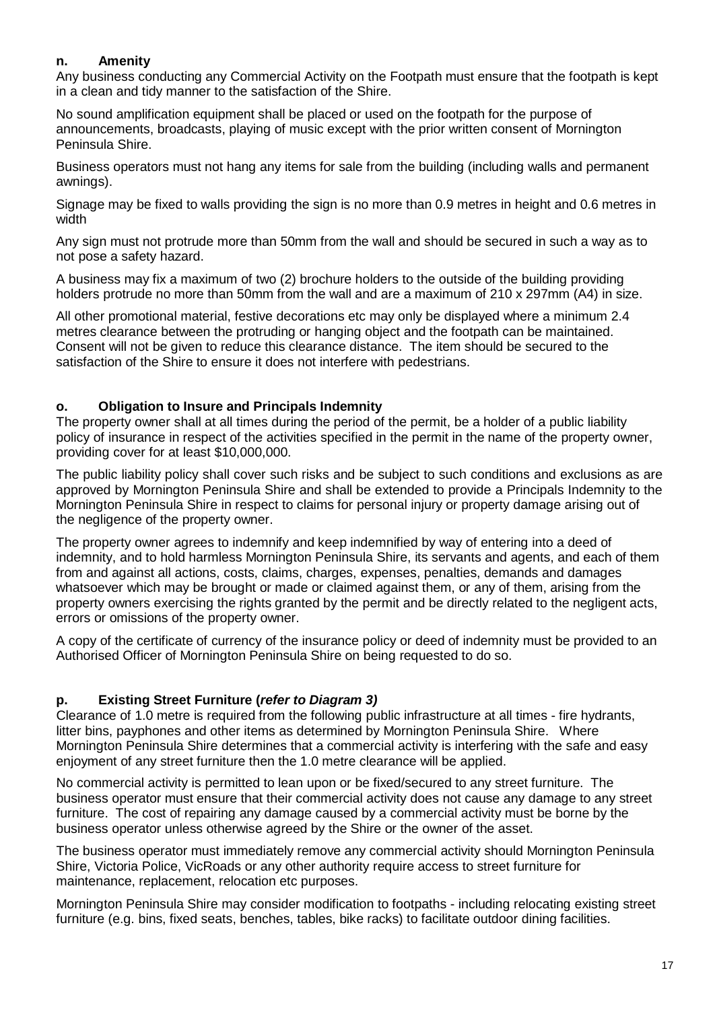#### **n. Amenity**

Any business conducting any Commercial Activity on the Footpath must ensure that the footpath is kept in a clean and tidy manner to the satisfaction of the Shire.

No sound amplification equipment shall be placed or used on the footpath for the purpose of announcements, broadcasts, playing of music except with the prior written consent of Mornington Peninsula Shire.

Business operators must not hang any items for sale from the building (including walls and permanent awnings).

Signage may be fixed to walls providing the sign is no more than 0.9 metres in height and 0.6 metres in width

Any sign must not protrude more than 50mm from the wall and should be secured in such a way as to not pose a safety hazard.

A business may fix a maximum of two (2) brochure holders to the outside of the building providing holders protrude no more than 50mm from the wall and are a maximum of 210 x 297mm (A4) in size.

All other promotional material, festive decorations etc may only be displayed where a minimum 2.4 metres clearance between the protruding or hanging object and the footpath can be maintained. Consent will not be given to reduce this clearance distance. The item should be secured to the satisfaction of the Shire to ensure it does not interfere with pedestrians.

#### **o. Obligation to Insure and Principals Indemnity**

The property owner shall at all times during the period of the permit, be a holder of a public liability policy of insurance in respect of the activities specified in the permit in the name of the property owner, providing cover for at least \$10,000,000.

The public liability policy shall cover such risks and be subject to such conditions and exclusions as are approved by Mornington Peninsula Shire and shall be extended to provide a Principals Indemnity to the Mornington Peninsula Shire in respect to claims for personal injury or property damage arising out of the negligence of the property owner.

The property owner agrees to indemnify and keep indemnified by way of entering into a deed of indemnity, and to hold harmless Mornington Peninsula Shire, its servants and agents, and each of them from and against all actions, costs, claims, charges, expenses, penalties, demands and damages whatsoever which may be brought or made or claimed against them, or any of them, arising from the property owners exercising the rights granted by the permit and be directly related to the negligent acts, errors or omissions of the property owner.

A copy of the certificate of currency of the insurance policy or deed of indemnity must be provided to an Authorised Officer of Mornington Peninsula Shire on being requested to do so.

#### **p. Existing Street Furniture (***refer to Diagram 3)*

Clearance of 1.0 metre is required from the following public infrastructure at all times - fire hydrants, litter bins, payphones and other items as determined by Mornington Peninsula Shire. Where Mornington Peninsula Shire determines that a commercial activity is interfering with the safe and easy enjoyment of any street furniture then the 1.0 metre clearance will be applied.

No commercial activity is permitted to lean upon or be fixed/secured to any street furniture. The business operator must ensure that their commercial activity does not cause any damage to any street furniture. The cost of repairing any damage caused by a commercial activity must be borne by the business operator unless otherwise agreed by the Shire or the owner of the asset.

The business operator must immediately remove any commercial activity should Mornington Peninsula Shire, Victoria Police, VicRoads or any other authority require access to street furniture for maintenance, replacement, relocation etc purposes.

Mornington Peninsula Shire may consider modification to footpaths - including relocating existing street furniture (e.g. bins, fixed seats, benches, tables, bike racks) to facilitate outdoor dining facilities.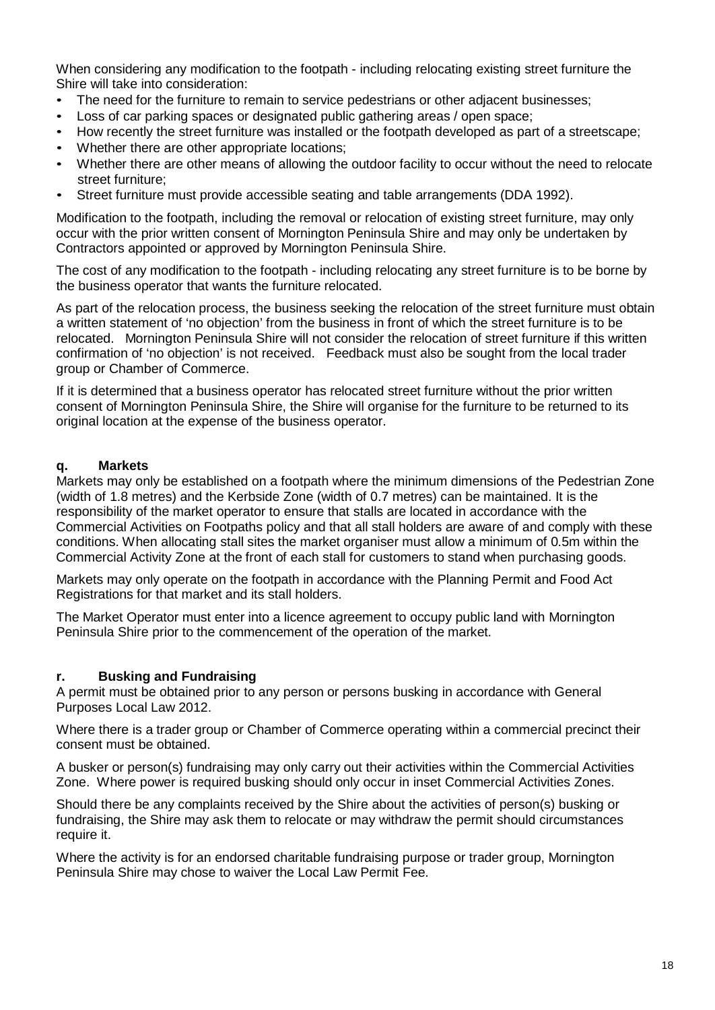When considering any modification to the footpath - including relocating existing street furniture the Shire will take into consideration:

- The need for the furniture to remain to service pedestrians or other adjacent businesses;
- Loss of car parking spaces or designated public gathering areas / open space;
- How recently the street furniture was installed or the footpath developed as part of a streetscape;
- Whether there are other appropriate locations;
- Whether there are other means of allowing the outdoor facility to occur without the need to relocate street furniture;
- Street furniture must provide accessible seating and table arrangements (DDA 1992).

Modification to the footpath, including the removal or relocation of existing street furniture, may only occur with the prior written consent of Mornington Peninsula Shire and may only be undertaken by Contractors appointed or approved by Mornington Peninsula Shire.

The cost of any modification to the footpath - including relocating any street furniture is to be borne by the business operator that wants the furniture relocated.

As part of the relocation process, the business seeking the relocation of the street furniture must obtain a written statement of 'no objection' from the business in front of which the street furniture is to be relocated. Mornington Peninsula Shire will not consider the relocation of street furniture if this written confirmation of 'no objection' is not received. Feedback must also be sought from the local trader group or Chamber of Commerce.

If it is determined that a business operator has relocated street furniture without the prior written consent of Mornington Peninsula Shire, the Shire will organise for the furniture to be returned to its original location at the expense of the business operator.

#### **q. Markets**

Markets may only be established on a footpath where the minimum dimensions of the Pedestrian Zone (width of 1.8 metres) and the Kerbside Zone (width of 0.7 metres) can be maintained. It is the responsibility of the market operator to ensure that stalls are located in accordance with the Commercial Activities on Footpaths policy and that all stall holders are aware of and comply with these conditions. When allocating stall sites the market organiser must allow a minimum of 0.5m within the Commercial Activity Zone at the front of each stall for customers to stand when purchasing goods.

Markets may only operate on the footpath in accordance with the Planning Permit and Food Act Registrations for that market and its stall holders.

The Market Operator must enter into a licence agreement to occupy public land with Mornington Peninsula Shire prior to the commencement of the operation of the market.

#### **r. Busking and Fundraising**

A permit must be obtained prior to any person or persons busking in accordance with General Purposes Local Law 2012.

Where there is a trader group or Chamber of Commerce operating within a commercial precinct their consent must be obtained.

A busker or person(s) fundraising may only carry out their activities within the Commercial Activities Zone. Where power is required busking should only occur in inset Commercial Activities Zones.

Should there be any complaints received by the Shire about the activities of person(s) busking or fundraising, the Shire may ask them to relocate or may withdraw the permit should circumstances require it.

Where the activity is for an endorsed charitable fundraising purpose or trader group, Mornington Peninsula Shire may chose to waiver the Local Law Permit Fee.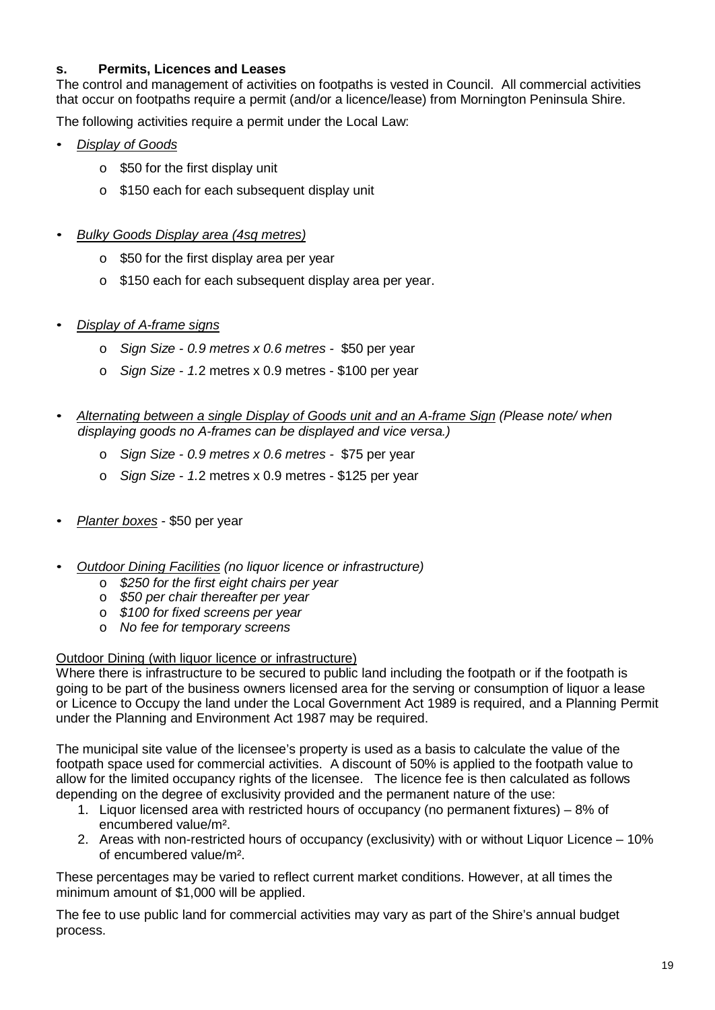#### **s. Permits, Licences and Leases**

The control and management of activities on footpaths is vested in Council. All commercial activities that occur on footpaths require a permit (and/or a licence/lease) from Mornington Peninsula Shire.

The following activities require a permit under the Local Law:

- *Display of Goods*
	- o \$50 for the first display unit
	- o \$150 each for each subsequent display unit
- *Bulky Goods Display area (4sq metres)*
	- o \$50 for the first display area per year
	- o \$150 each for each subsequent display area per year.
- *Display of A-frame signs*
	- o *Sign Size - 0.9 metres x 0.6 metres -* \$50 per year
	- o *Sign Size - 1.*2 metres x 0.9 metres \$100 per year
- *Alternating between a single Display of Goods unit and an A-frame Sign (Please note/ when displaying goods no A-frames can be displayed and vice versa.)*
	- o *Sign Size - 0.9 metres x 0.6 metres -* \$75 per year
	- o *Sign Size - 1.*2 metres x 0.9 metres \$125 per year
- *Planter boxes* \$50 per year
- *Outdoor Dining Facilities (no liquor licence or infrastructure)*
	- o *\$250 for the first eight chairs per year*
	- o *\$50 per chair thereafter per year*
	- o *\$100 for fixed screens per year*
	- o *No fee for temporary screens*

#### Outdoor Dining (with liquor licence or infrastructure)

Where there is infrastructure to be secured to public land including the footpath or if the footpath is going to be part of the business owners licensed area for the serving or consumption of liquor a lease or Licence to Occupy the land under the Local Government Act 1989 is required, and a Planning Permit under the Planning and Environment Act 1987 may be required.

The municipal site value of the licensee's property is used as a basis to calculate the value of the footpath space used for commercial activities. A discount of 50% is applied to the footpath value to allow for the limited occupancy rights of the licensee. The licence fee is then calculated as follows depending on the degree of exclusivity provided and the permanent nature of the use:

- 1. Liquor licensed area with restricted hours of occupancy (no permanent fixtures) 8% of encumbered value/m².
- 2. Areas with non-restricted hours of occupancy (exclusivity) with or without Liquor Licence 10% of encumbered value/m².

These percentages may be varied to reflect current market conditions. However, at all times the minimum amount of \$1,000 will be applied.

The fee to use public land for commercial activities may vary as part of the Shire's annual budget process.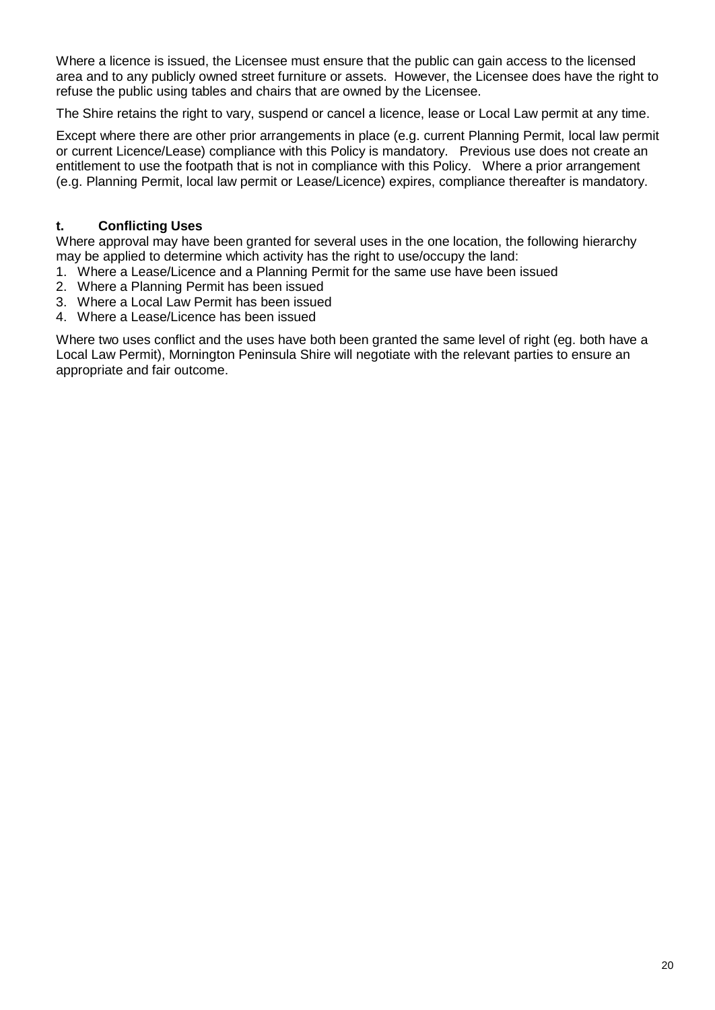Where a licence is issued, the Licensee must ensure that the public can gain access to the licensed area and to any publicly owned street furniture or assets. However, the Licensee does have the right to refuse the public using tables and chairs that are owned by the Licensee.

The Shire retains the right to vary, suspend or cancel a licence, lease or Local Law permit at any time.

Except where there are other prior arrangements in place (e.g. current Planning Permit, local law permit or current Licence/Lease) compliance with this Policy is mandatory. Previous use does not create an entitlement to use the footpath that is not in compliance with this Policy. Where a prior arrangement (e.g. Planning Permit, local law permit or Lease/Licence) expires, compliance thereafter is mandatory.

#### **t. Conflicting Uses**

Where approval may have been granted for several uses in the one location, the following hierarchy may be applied to determine which activity has the right to use/occupy the land:

- 1. Where a Lease/Licence and a Planning Permit for the same use have been issued
- 2. Where a Planning Permit has been issued
- 3. Where a Local Law Permit has been issued
- 4. Where a Lease/Licence has been issued

Where two uses conflict and the uses have both been granted the same level of right (eg. both have a Local Law Permit), Mornington Peninsula Shire will negotiate with the relevant parties to ensure an appropriate and fair outcome.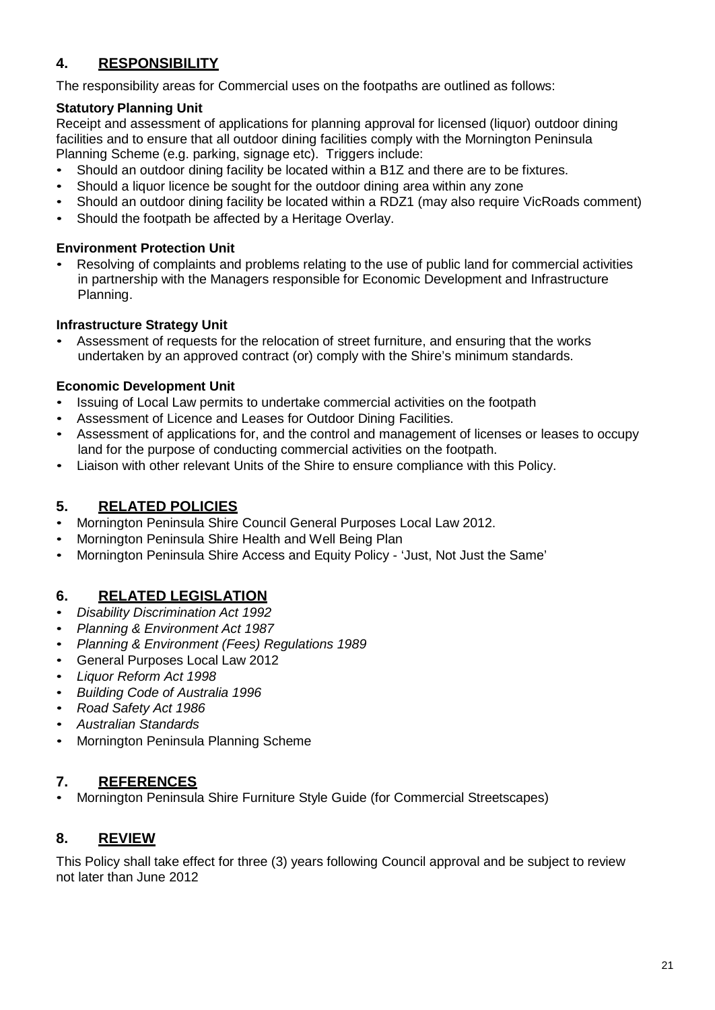# **4. RESPONSIBILITY**

The responsibility areas for Commercial uses on the footpaths are outlined as follows:

## **Statutory Planning Unit**

Receipt and assessment of applications for planning approval for licensed (liquor) outdoor dining facilities and to ensure that all outdoor dining facilities comply with the Mornington Peninsula Planning Scheme (e.g. parking, signage etc). Triggers include:

- Should an outdoor dining facility be located within a B1Z and there are to be fixtures.
- Should a liquor licence be sought for the outdoor dining area within any zone
- Should an outdoor dining facility be located within a RDZ1 (may also require VicRoads comment)
- Should the footpath be affected by a Heritage Overlay.

#### **Environment Protection Unit**

• Resolving of complaints and problems relating to the use of public land for commercial activities in partnership with the Managers responsible for Economic Development and Infrastructure Planning.

#### **Infrastructure Strategy Unit**

• Assessment of requests for the relocation of street furniture, and ensuring that the works undertaken by an approved contract (or) comply with the Shire's minimum standards.

#### **Economic Development Unit**

- Issuing of Local Law permits to undertake commercial activities on the footpath
- Assessment of Licence and Leases for Outdoor Dining Facilities.
- Assessment of applications for, and the control and management of licenses or leases to occupy land for the purpose of conducting commercial activities on the footpath.
- Liaison with other relevant Units of the Shire to ensure compliance with this Policy.

## **5. RELATED POLICIES**

- Mornington Peninsula Shire Council General Purposes Local Law 2012.
- Mornington Peninsula Shire Health and Well Being Plan
- Mornington Peninsula Shire Access and Equity Policy 'Just, Not Just the Same'

## **6. RELATED LEGISLATION**

- *Disability Discrimination Act 1992*
- *Planning & Environment Act 1987*
- *Planning & Environment (Fees) Regulations 1989*
- General Purposes Local Law 2012
- *Liquor Reform Act 1998*
- *Building Code of Australia 1996*
- *Road Safety Act 1986*
- *Australian Standards*
- Mornington Peninsula Planning Scheme

## **7. REFERENCES**

• Mornington Peninsula Shire Furniture Style Guide (for Commercial Streetscapes)

# **8. REVIEW**

This Policy shall take effect for three (3) years following Council approval and be subject to review not later than June 2012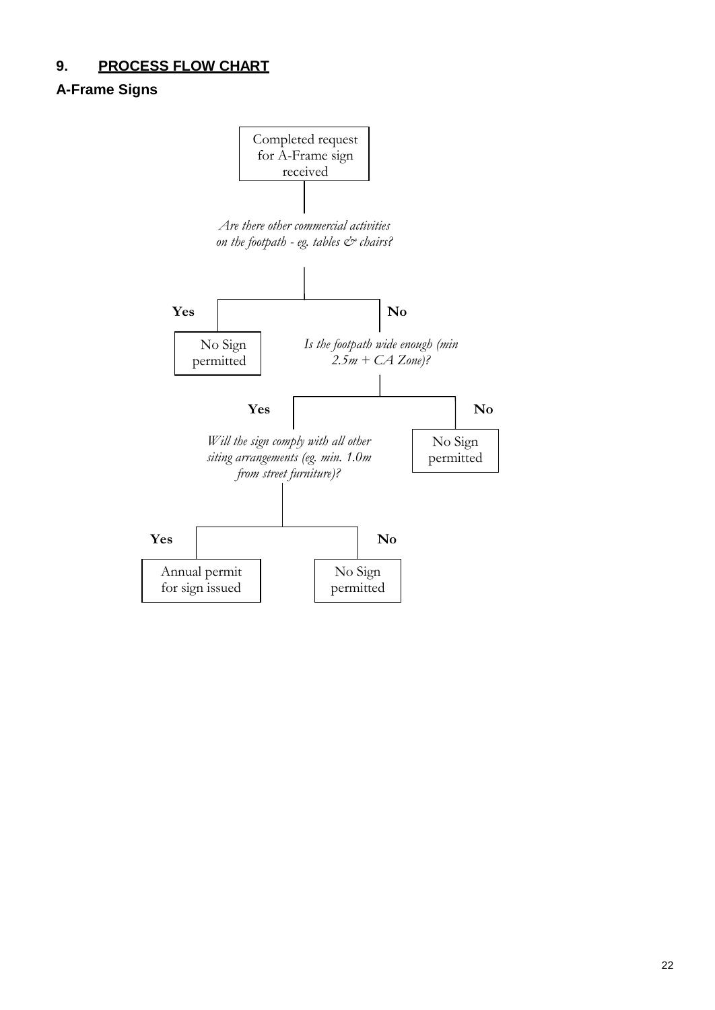# **9. PROCESS FLOW CHART**

# **A-Frame Signs**

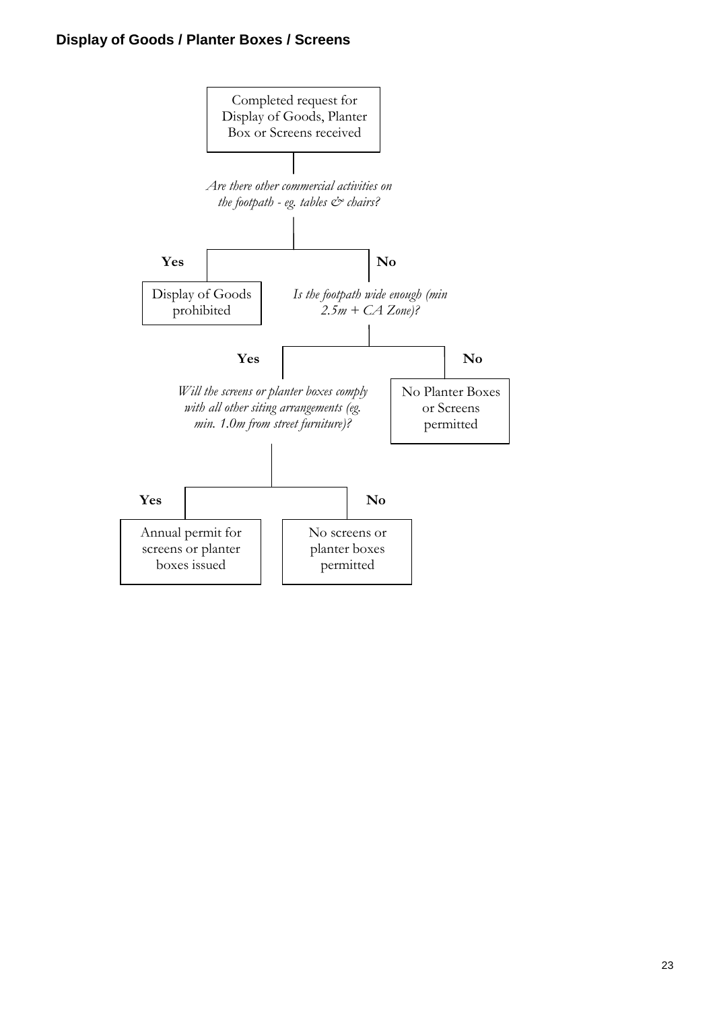## **Display of Goods / Planter Boxes / Screens**

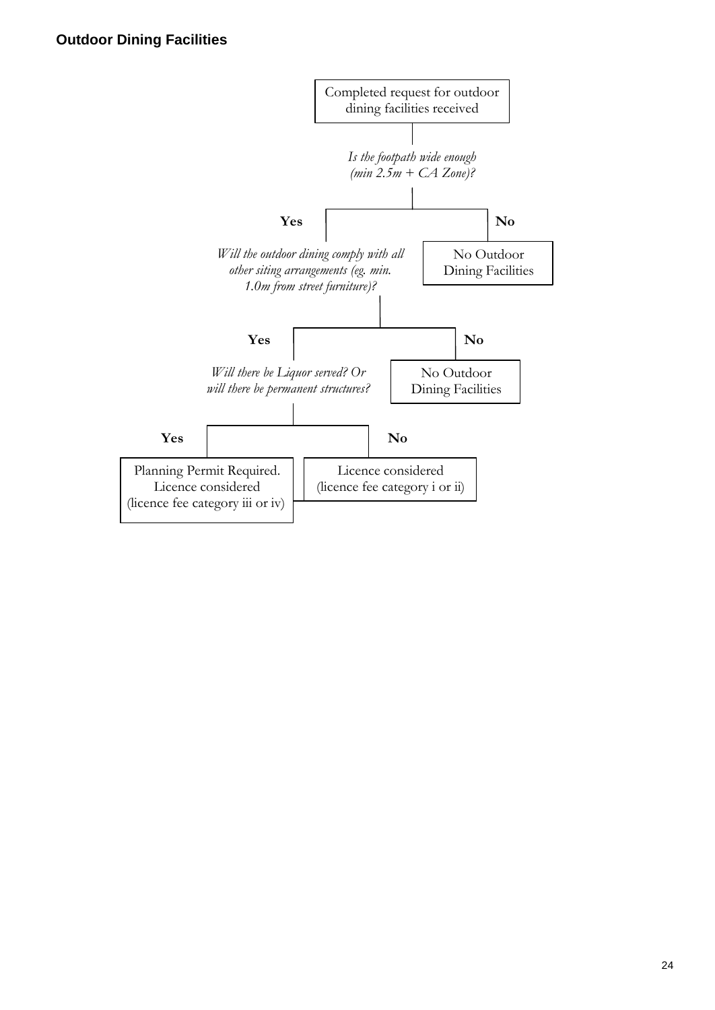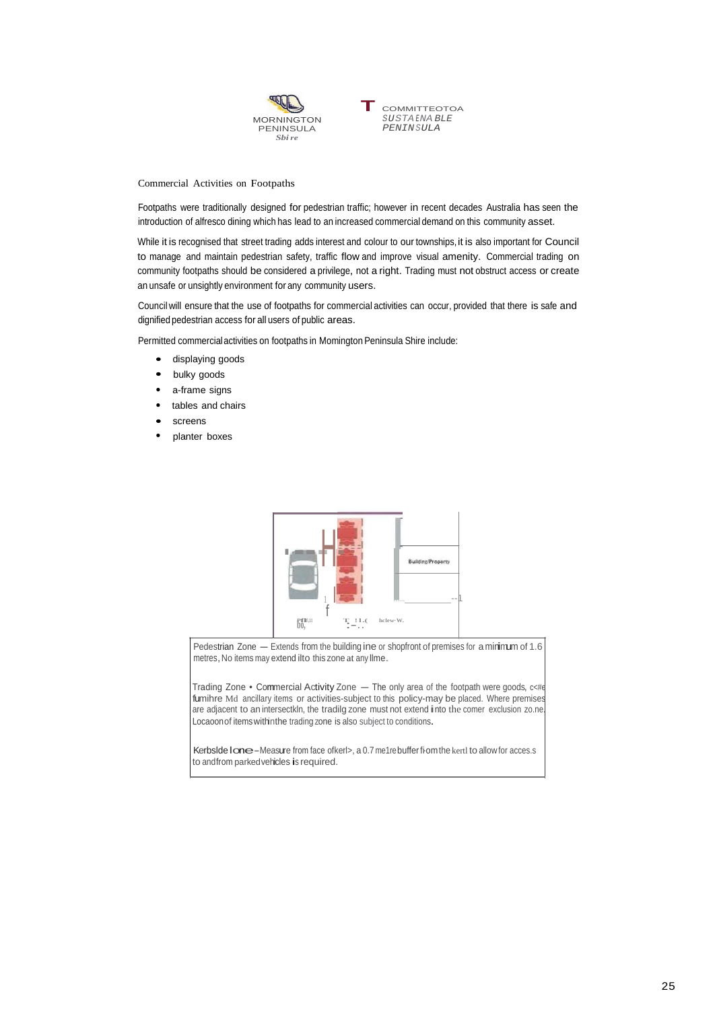

Commercial Activities on Footpaths

Footpaths were traditionally designed for pedestrian traffic; however in recent decades Australia has seen the introduction of alfresco dining which has lead to an increased commercial demand on this community asset.

While it is recognised that street trading adds interest and colour to our townships, it is also important for Council to manage and maintain pedestrian safety, traffic flow and improve visual amenity. Commercial trading on community footpaths should be considered a privilege, not a right. Trading must not obstruct access or create an unsafe or unsightly environment for any community users.

Council will ensure that the use of footpaths for commercial activities can occur, provided that there is safe and dignified pedestrian access for all users of public areas.

Permitted commercial activities on footpaths in Momington Peninsula Shire include:

- displaying goods
- bulky goods
- a-frame signs
- tables and chairs
- screens
- planter boxes



Pedestrian Zone - Extends from the building ine or shopfront of premises for a minimum of 1.6 metres, No items may extend ilto this zone at any Ilme.

Trading Zone . Commercial Activity Zone - The only area of the footpath were goods, c<#e fumihre Md ancillary items or activities-subject to this policy-may be placed. Where premises are adjacent to an intersectkln, the tradilg zone must not extend into the comer exclusion zo.ne. Locaoonof itemswithinthe trading zone is also subject to conditions.

Kerbslde Ione-Measure from face ofkerl>, a 0.7 me1rebuffer fiom the kertl to allow for acces.s to andfrom parkedvehicles is required.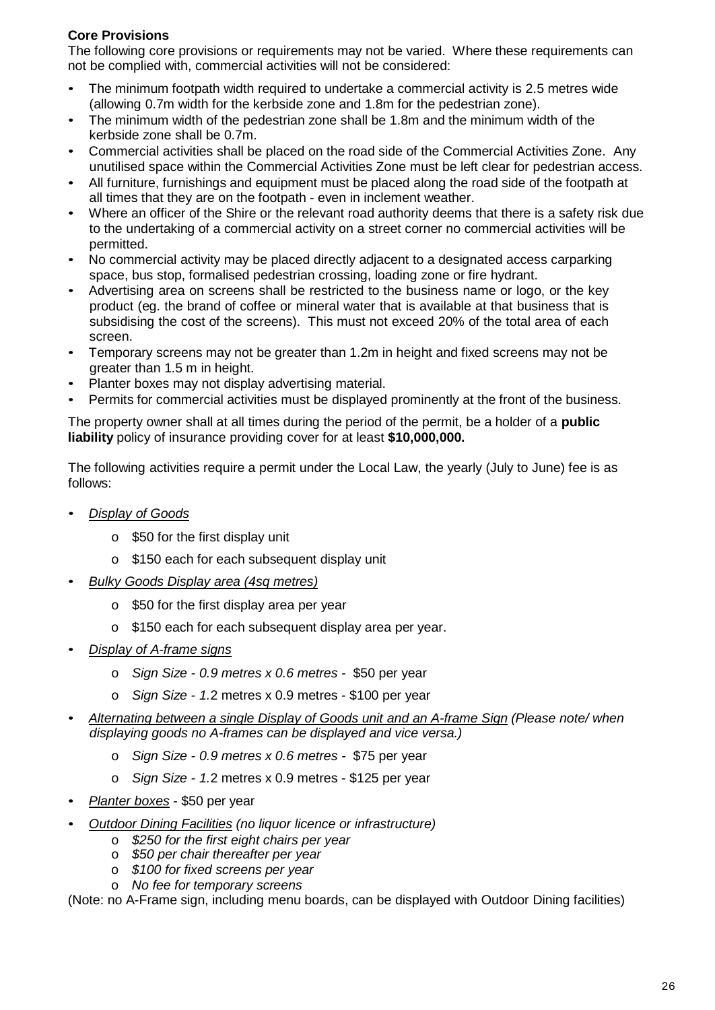### **Core Provisions**

The following core provisions or requirements may not be varied. Where these requirements can not be complied with, commercial activities will not be considered:

- The minimum footpath width required to undertake a commercial activity is 2.5 metres wide (allowing 0.7m width for the kerbside zone and 1.8m for the pedestrian zone).
- The minimum width of the pedestrian zone shall be 1.8m and the minimum width of the kerbside zone shall be 0.7m.
- Commercial activities shall be placed on the road side of the Commercial Activities Zone. Any unutilised space within the Commercial Activities Zone must be left clear for pedestrian access.
- All furniture, furnishings and equipment must be placed along the road side of the footpath at all times that they are on the footpath - even in inclement weather.
- Where an officer of the Shire or the relevant road authority deems that there is a safety risk due to the undertaking of a commercial activity on a street corner no commercial activities will be permitted.
- No commercial activity may be placed directly adjacent to a designated access carparking space, bus stop, formalised pedestrian crossing, loading zone or fire hydrant.
- Advertising area on screens shall be restricted to the business name or logo, or the key product (eg. the brand of coffee or mineral water that is available at that business that is subsidising the cost of the screens). This must not exceed 20% of the total area of each screen.
- Temporary screens may not be greater than 1.2m in height and fixed screens may not be greater than 1.5 m in height.
- Planter boxes may not display advertising material.
- Permits for commercial activities must be displayed prominently at the front of the business.

The property owner shall at all times during the period of the permit, be a holder of a **public liability** policy of insurance providing cover for at least **\$10,000,000.**

The following activities require a permit under the Local Law, the yearly (July to June) fee is as follows:

- *Display of Goods*
	- o \$50 for the first display unit
	- o \$150 each for each subsequent display unit
- *Bulky Goods Display area (4sq metres)*
	- o \$50 for the first display area per year
	- o \$150 each for each subsequent display area per year.
- *Display of A-frame signs*
	- o *Sign Size - 0.9 metres x 0.6 metres -* \$50 per year
	- o *Sign Size - 1.*2 metres x 0.9 metres \$100 per year
- *Alternating between a single Display of Goods unit and an A-frame Sign (Please note/ when displaying goods no A-frames can be displayed and vice versa.)*
	- o *Sign Size - 0.9 metres x 0.6 metres -* \$75 per year
	- o *Sign Size - 1.*2 metres x 0.9 metres \$125 per year
- *Planter boxes* \$50 per year
- *Outdoor Dining Facilities (no liquor licence or infrastructure)*
	- o *\$250 for the first eight chairs per year*
	- o *\$50 per chair thereafter per year*
	- o *\$100 for fixed screens per year*
	- o *No fee for temporary screens*

(Note: no A-Frame sign, including menu boards, can be displayed with Outdoor Dining facilities)